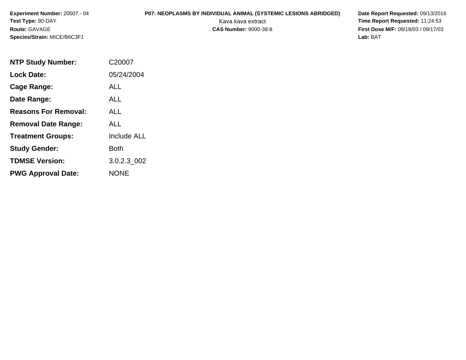# **P07: NEOPLASMS BY INDIVIDUAL ANIMAL (SYSTEMIC LESIONS ABRIDGED) Date Report Requested: 09/13/2016<br>Kava kava extract <b>Time Report Requested:** 11:24:53

| <b>NTP Study Number:</b>    | C20007             |
|-----------------------------|--------------------|
| <b>Lock Date:</b>           | 05/24/2004         |
| Cage Range:                 | ALL                |
| Date Range:                 | ALL                |
| <b>Reasons For Removal:</b> | ALL                |
| <b>Removal Date Range:</b>  | ALL                |
| <b>Treatment Groups:</b>    | <b>Include ALL</b> |
| <b>Study Gender:</b>        | <b>Both</b>        |
| <b>TDMSE Version:</b>       | 3.0.2.3 002        |
| <b>PWG Approval Date:</b>   | <b>NONE</b>        |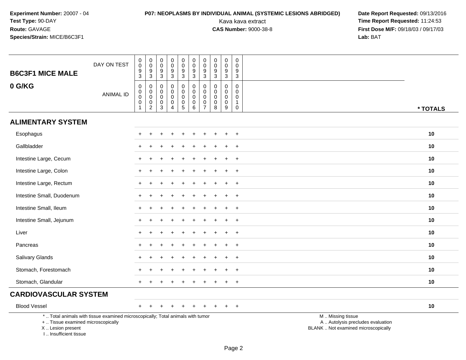# **P07: NEOPLASMS BY INDIVIDUAL ANIMAL (SYSTEMIC LESIONS ABRIDGED) Date Report Requested:** 09/13/2016

| <b>B6C3F1 MICE MALE</b>                                                         | DAY ON TEST                                                                     | $\begin{smallmatrix}0\0\0\end{smallmatrix}$<br>$\frac{9}{3}$                   | $_{\rm 0}^{\rm 0}$<br>$\frac{9}{3}$                                                       | 0<br>$\pmb{0}$<br>$\frac{9}{3}$            | $\begin{smallmatrix} 0\\0 \end{smallmatrix}$<br>$\frac{9}{3}$          | 0<br>$\overline{0}$<br>$\frac{9}{3}$                 | $\pmb{0}$<br>$\overline{0}$<br>$\frac{9}{3}$                      | 0<br>$\overline{0}$<br>$\boldsymbol{9}$<br>$\overline{3}$      | $\mathbf 0$<br>$\overline{0}$<br>$\boldsymbol{9}$<br>$\overline{3}$ | $\mathbf 0$<br>$\overline{0}$<br>$\frac{9}{3}$              | $\mathbf 0$<br>$\mathbf 0$<br>$\frac{9}{3}$                                      |                                                                                               |
|---------------------------------------------------------------------------------|---------------------------------------------------------------------------------|--------------------------------------------------------------------------------|-------------------------------------------------------------------------------------------|--------------------------------------------|------------------------------------------------------------------------|------------------------------------------------------|-------------------------------------------------------------------|----------------------------------------------------------------|---------------------------------------------------------------------|-------------------------------------------------------------|----------------------------------------------------------------------------------|-----------------------------------------------------------------------------------------------|
| 0 G/KG                                                                          | <b>ANIMAL ID</b>                                                                | $\pmb{0}$<br>$\mathbf 0$<br>$\ddot{\mathbf{0}}$<br>$\pmb{0}$<br>$\overline{1}$ | $\mathbf 0$<br>$\mathbf 0$<br>$\mathbf 0$<br>$\begin{smallmatrix} 0\\2 \end{smallmatrix}$ | 0<br>0<br>0<br>$\pmb{0}$<br>$\overline{3}$ | $\pmb{0}$<br>$\mathbf 0$<br>$\pmb{0}$<br>$\mathbf 0$<br>$\overline{4}$ | 0<br>$\mathbf 0$<br>$\pmb{0}$<br>0<br>$\overline{5}$ | $\pmb{0}$<br>$\mathsf{O}\xspace$<br>$\mathbf 0$<br>$\pmb{0}$<br>6 | 0<br>$\mathbf 0$<br>$\mathbf 0$<br>$\pmb{0}$<br>$\overline{7}$ | $\Omega$<br>$\Omega$<br>$\mathbf 0$<br>$\mathbf 0$<br>$\,8\,$       | $\mathsf{O}\xspace$<br>0<br>$\pmb{0}$<br>$\pmb{0}$<br>$9\,$ | $\mathbf 0$<br>$\mathbf 0$<br>$\mathbf 0$<br>$\mathbf{1}$<br>$\mathsf{O}\xspace$ | * TOTALS                                                                                      |
| <b>ALIMENTARY SYSTEM</b>                                                        |                                                                                 |                                                                                |                                                                                           |                                            |                                                                        |                                                      |                                                                   |                                                                |                                                                     |                                                             |                                                                                  |                                                                                               |
| Esophagus                                                                       |                                                                                 |                                                                                |                                                                                           |                                            |                                                                        |                                                      |                                                                   |                                                                |                                                                     |                                                             | $\overline{1}$                                                                   | 10                                                                                            |
| Gallbladder                                                                     |                                                                                 |                                                                                |                                                                                           |                                            |                                                                        |                                                      |                                                                   |                                                                |                                                                     |                                                             | $\overline{ }$                                                                   | 10                                                                                            |
| Intestine Large, Cecum                                                          |                                                                                 |                                                                                |                                                                                           |                                            |                                                                        |                                                      |                                                                   |                                                                |                                                                     |                                                             | $\ddot{}$                                                                        | 10                                                                                            |
| Intestine Large, Colon                                                          |                                                                                 |                                                                                |                                                                                           |                                            |                                                                        |                                                      |                                                                   |                                                                |                                                                     |                                                             | $\ddot{}$                                                                        | 10                                                                                            |
| Intestine Large, Rectum                                                         |                                                                                 |                                                                                |                                                                                           |                                            |                                                                        |                                                      |                                                                   |                                                                |                                                                     |                                                             | $\ddot{}$                                                                        | 10                                                                                            |
| Intestine Small, Duodenum                                                       |                                                                                 |                                                                                |                                                                                           |                                            |                                                                        |                                                      |                                                                   |                                                                |                                                                     |                                                             | $\pm$                                                                            | 10                                                                                            |
| Intestine Small, Ileum                                                          |                                                                                 |                                                                                |                                                                                           |                                            |                                                                        |                                                      |                                                                   |                                                                |                                                                     | $\div$                                                      | $+$                                                                              | 10                                                                                            |
| Intestine Small, Jejunum                                                        |                                                                                 |                                                                                |                                                                                           |                                            |                                                                        |                                                      |                                                                   |                                                                |                                                                     |                                                             | $\overline{+}$                                                                   | 10                                                                                            |
| Liver                                                                           |                                                                                 |                                                                                |                                                                                           |                                            |                                                                        |                                                      |                                                                   |                                                                |                                                                     |                                                             | $\overline{1}$                                                                   | 10                                                                                            |
| Pancreas                                                                        |                                                                                 |                                                                                |                                                                                           |                                            |                                                                        |                                                      |                                                                   |                                                                |                                                                     | ÷                                                           | $\overline{+}$                                                                   | 10                                                                                            |
| <b>Salivary Glands</b>                                                          |                                                                                 |                                                                                |                                                                                           |                                            |                                                                        |                                                      |                                                                   |                                                                |                                                                     |                                                             | $\overline{+}$                                                                   | 10                                                                                            |
| Stomach, Forestomach                                                            |                                                                                 |                                                                                |                                                                                           |                                            |                                                                        |                                                      |                                                                   |                                                                |                                                                     |                                                             | $\overline{+}$                                                                   | 10                                                                                            |
| Stomach, Glandular                                                              |                                                                                 |                                                                                |                                                                                           |                                            |                                                                        |                                                      |                                                                   |                                                                |                                                                     |                                                             | $\ddot{}$                                                                        | 10                                                                                            |
| <b>CARDIOVASCULAR SYSTEM</b>                                                    |                                                                                 |                                                                                |                                                                                           |                                            |                                                                        |                                                      |                                                                   |                                                                |                                                                     |                                                             |                                                                                  |                                                                                               |
| <b>Blood Vessel</b>                                                             |                                                                                 |                                                                                |                                                                                           |                                            |                                                                        |                                                      |                                                                   |                                                                |                                                                     |                                                             | $^{+}$                                                                           | 10                                                                                            |
| +  Tissue examined microscopically<br>X Lesion present<br>I Insufficient tissue | *  Total animals with tissue examined microscopically; Total animals with tumor |                                                                                |                                                                                           |                                            |                                                                        |                                                      |                                                                   |                                                                |                                                                     |                                                             |                                                                                  | M  Missing tissue<br>A  Autolysis precludes evaluation<br>BLANK  Not examined microscopically |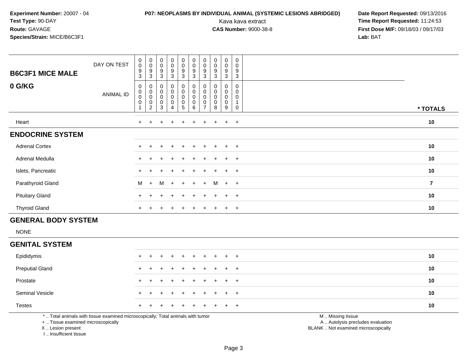# **P07: NEOPLASMS BY INDIVIDUAL ANIMAL (SYSTEMIC LESIONS ABRIDGED) Date Report Requested:** 09/13/2016

Kava kava extract **Time Report Requested:** 11:24:53<br>**CAS Number:** 9000-38-8 **Time Report Requested:** 11:24:53 **First Dose M/F:** 09/18/03 / 09/17/03<br>**Lab:** BAT **Lab:** BAT

| <b>B6C3F1 MICE MALE</b><br>0 G/KG | DAY ON TEST | 0<br>$\boldsymbol{0}$<br>9<br>3<br>0             | $_{\rm 0}^{\rm 0}$<br>$\boldsymbol{9}$<br>$\mathbf{3}$                   | $_{\rm 0}^{\rm 0}$<br>$\boldsymbol{9}$<br>$\mathbf{3}$<br>0 | $_{\rm 0}^{\rm 0}$<br>$\boldsymbol{9}$<br>3<br>0 | $\pmb{0}$<br>$\pmb{0}$<br>$\boldsymbol{9}$<br>$\mathbf{3}$<br>$\pmb{0}$    | $\begin{smallmatrix} 0\\0 \end{smallmatrix}$<br>$\boldsymbol{9}$<br>3<br>$\pmb{0}$ | $\pmb{0}$<br>$\pmb{0}$<br>9<br>3      | $_{\rm 0}^{\rm 0}$<br>$\boldsymbol{9}$<br>$\mathbf 3$<br>0 | $\pmb{0}$<br>$\mathbf 0$<br>$\boldsymbol{9}$<br>3<br>0 | $\pmb{0}$<br>0<br>$\boldsymbol{9}$<br>$\sqrt{3}$<br>0 |                |
|-----------------------------------|-------------|--------------------------------------------------|--------------------------------------------------------------------------|-------------------------------------------------------------|--------------------------------------------------|----------------------------------------------------------------------------|------------------------------------------------------------------------------------|---------------------------------------|------------------------------------------------------------|--------------------------------------------------------|-------------------------------------------------------|----------------|
|                                   | ANIMAL ID   | $\begin{smallmatrix}0\0\0\end{smallmatrix}$<br>0 | 0<br>$\mathsf{O}\xspace$<br>$\begin{smallmatrix} 0\\2 \end{smallmatrix}$ | $_{\rm 0}^{\rm 0}$<br>$_{3}^{\rm 0}$                        | $\pmb{0}$<br>0<br>$\pmb{0}$<br>4                 | $\begin{smallmatrix}0\\0\end{smallmatrix}$<br>$\pmb{0}$<br>$5\phantom{.0}$ | $_{\rm 0}^{\rm 0}$<br>$\pmb{0}$<br>$6\phantom{a}$                                  | 0<br>$\pmb{0}$<br>0<br>$\overline{ }$ | $_{\rm 0}^{\rm 0}$<br>$\pmb{0}$<br>8                       | $\mathbf 0$<br>$\pmb{0}$<br>0<br>9                     | 0<br>0<br>0                                           | * TOTALS       |
| Heart                             |             | $+$                                              | $\ddot{}$                                                                |                                                             | $\div$                                           |                                                                            |                                                                                    | ÷                                     |                                                            | $\ddot{}$                                              | $+$                                                   | 10             |
| <b>ENDOCRINE SYSTEM</b>           |             |                                                  |                                                                          |                                                             |                                                  |                                                                            |                                                                                    |                                       |                                                            |                                                        |                                                       |                |
| <b>Adrenal Cortex</b>             |             | $+$                                              |                                                                          |                                                             | $\ddot{}$                                        | $+$                                                                        | $+$                                                                                | $+$                                   | $\ddot{}$                                                  | $+$                                                    | $+$                                                   | 10             |
| Adrenal Medulla                   |             | $\pm$                                            |                                                                          |                                                             | $\div$                                           | $+$                                                                        | $+$                                                                                | $+$                                   | $+$                                                        | $+$                                                    | $+$                                                   | 10             |
| Islets, Pancreatic                |             |                                                  |                                                                          |                                                             | $\ddot{}$                                        |                                                                            | $+$                                                                                | ÷.                                    | $\pm$                                                      | $\pm$                                                  | $+$                                                   | 10             |
| Parathyroid Gland                 |             | M                                                | $+$                                                                      | м                                                           | $+$                                              | $+$                                                                        | $+$                                                                                | $+$                                   | M                                                          | $+$ $+$                                                |                                                       | $\overline{7}$ |
| <b>Pituitary Gland</b>            |             | $+$                                              |                                                                          |                                                             | $\ddot{}$                                        |                                                                            |                                                                                    |                                       |                                                            | $\div$                                                 | $+$                                                   | 10             |
| <b>Thyroid Gland</b>              |             | $+$                                              |                                                                          |                                                             | $\div$                                           |                                                                            |                                                                                    |                                       |                                                            | $\pm$                                                  | $+$                                                   | 10             |

### **GENERAL BODY SYSTEM**

NONE

#### **GENITAL SYSTEM**

| Epididymis             |  | + + + + + + + + + + |  |  |  |          | 10 |
|------------------------|--|---------------------|--|--|--|----------|----|
| <b>Preputial Gland</b> |  | + + + + + + + + + + |  |  |  |          | 10 |
| Prostate               |  | + + + + + + + + + + |  |  |  |          | 10 |
| <b>Seminal Vesicle</b> |  | + + + + + + + + + + |  |  |  |          | 10 |
| <b>Testes</b>          |  | + + + + + + + + + + |  |  |  |          | 10 |
|                        |  |                     |  |  |  | $\cdots$ |    |

\* .. Total animals with tissue examined microscopically; Total animals with tumor

+ .. Tissue examined microscopically

X .. Lesion present

I .. Insufficient tissue

M .. Missing tissue

y the contract of the contract of the contract of the contract of the contract of the contract of the contract of  $A$ . Autolysis precludes evaluation

Lesion present BLANK .. Not examined microscopically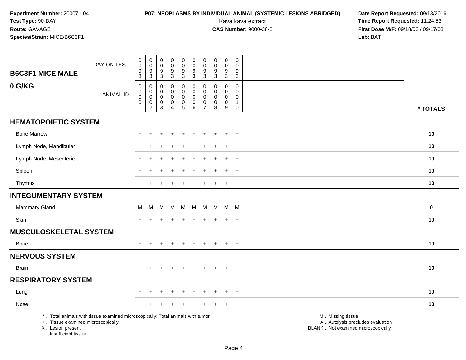# **P07: NEOPLASMS BY INDIVIDUAL ANIMAL (SYSTEMIC LESIONS ABRIDGED) Date Report Requested:** 09/13/2016

| <b>B6C3F1 MICE MALE</b>                                                          | DAY ON TEST                                                                     | $\pmb{0}$<br>$\pmb{0}$<br>9<br>$\mathfrak{S}$                                 | $\pmb{0}$<br>$\pmb{0}$<br>9<br>3           | 0<br>$\mathbf 0$<br>9<br>3                | $\pmb{0}$<br>$\pmb{0}$<br>$\frac{9}{3}$                                        | $\pmb{0}$<br>$\mathbf 0$<br>$\boldsymbol{9}$<br>$\mathsf 3$                | $\pmb{0}$<br>$\mathbf 0$<br>9<br>$\mathbf{3}$       | $\pmb{0}$<br>$\mathbf 0$<br>9<br>$\mathbf{3}$          | 0<br>$\mathsf 0$<br>$\frac{9}{3}$                           | $\pmb{0}$<br>$\mathbf 0$<br>9<br>$\mathbf{3}$       | $\pmb{0}$<br>$\mathbf 0$<br>9<br>3                                  |                                                                                               |          |
|----------------------------------------------------------------------------------|---------------------------------------------------------------------------------|-------------------------------------------------------------------------------|--------------------------------------------|-------------------------------------------|--------------------------------------------------------------------------------|----------------------------------------------------------------------------|-----------------------------------------------------|--------------------------------------------------------|-------------------------------------------------------------|-----------------------------------------------------|---------------------------------------------------------------------|-----------------------------------------------------------------------------------------------|----------|
| 0 G/KG                                                                           | <b>ANIMAL ID</b>                                                                | $\mathbf 0$<br>$\boldsymbol{0}$<br>$\mathbf 0$<br>$\mathbf 0$<br>$\mathbf{1}$ | 0<br>0<br>$\pmb{0}$<br>0<br>$\overline{c}$ | 0<br>$\mathbf 0$<br>$\mathbf 0$<br>0<br>3 | $\mathbf 0$<br>$\mathbf 0$<br>$\pmb{0}$<br>$\pmb{0}$<br>$\boldsymbol{\Lambda}$ | $\mathbf 0$<br>$\mathbf 0$<br>$\mathbf 0$<br>$\mathbf 0$<br>$\overline{5}$ | $\mathbf 0$<br>$\mathbf 0$<br>$\mathbf 0$<br>0<br>6 | 0<br>$\mathbf 0$<br>$\mathbf 0$<br>0<br>$\overline{7}$ | $\mathbf 0$<br>$\mathbf 0$<br>$\pmb{0}$<br>$\mathbf 0$<br>8 | $\mathbf 0$<br>0<br>$\mathbf 0$<br>$\mathbf 0$<br>9 | $\mathbf 0$<br>$\Omega$<br>0<br>$\mathbf{1}$<br>$\mathsf{O}\xspace$ |                                                                                               | * TOTALS |
| <b>HEMATOPOIETIC SYSTEM</b>                                                      |                                                                                 |                                                                               |                                            |                                           |                                                                                |                                                                            |                                                     |                                                        |                                                             |                                                     |                                                                     |                                                                                               |          |
| <b>Bone Marrow</b>                                                               |                                                                                 | $\pm$                                                                         | $\ddot{}$                                  | ÷                                         | $\ddot{}$                                                                      | $\ddot{}$                                                                  | $\ddot{}$                                           | $\ddot{}$                                              |                                                             | $\ddot{}$                                           | $+$                                                                 |                                                                                               | 10       |
| Lymph Node, Mandibular                                                           |                                                                                 |                                                                               |                                            |                                           |                                                                                |                                                                            |                                                     |                                                        |                                                             |                                                     | $\ddot{}$                                                           |                                                                                               | 10       |
| Lymph Node, Mesenteric                                                           |                                                                                 |                                                                               |                                            |                                           |                                                                                |                                                                            |                                                     |                                                        |                                                             |                                                     | $+$                                                                 |                                                                                               | 10       |
| Spleen                                                                           |                                                                                 |                                                                               |                                            |                                           |                                                                                |                                                                            |                                                     |                                                        |                                                             | $\ddot{}$                                           | $+$                                                                 |                                                                                               | 10       |
| Thymus                                                                           |                                                                                 | +                                                                             |                                            |                                           |                                                                                |                                                                            |                                                     |                                                        |                                                             | $\overline{+}$                                      | $\overline{+}$                                                      |                                                                                               | 10       |
| <b>INTEGUMENTARY SYSTEM</b>                                                      |                                                                                 |                                                                               |                                            |                                           |                                                                                |                                                                            |                                                     |                                                        |                                                             |                                                     |                                                                     |                                                                                               |          |
| Mammary Gland                                                                    |                                                                                 | M                                                                             | M                                          | M                                         | M M                                                                            |                                                                            | M                                                   |                                                        | M M M M                                                     |                                                     |                                                                     |                                                                                               | $\bf{0}$ |
| Skin                                                                             |                                                                                 | $+$                                                                           | $\ddot{}$                                  |                                           |                                                                                | ÷                                                                          | $\pm$                                               | $\pm$                                                  | $+$                                                         | $+$                                                 | $+$                                                                 |                                                                                               | 10       |
| <b>MUSCULOSKELETAL SYSTEM</b>                                                    |                                                                                 |                                                                               |                                            |                                           |                                                                                |                                                                            |                                                     |                                                        |                                                             |                                                     |                                                                     |                                                                                               |          |
| Bone                                                                             |                                                                                 |                                                                               |                                            |                                           |                                                                                |                                                                            |                                                     |                                                        |                                                             | $\ddot{}$                                           | $\overline{+}$                                                      |                                                                                               | 10       |
| <b>NERVOUS SYSTEM</b>                                                            |                                                                                 |                                                                               |                                            |                                           |                                                                                |                                                                            |                                                     |                                                        |                                                             |                                                     |                                                                     |                                                                                               |          |
| Brain                                                                            |                                                                                 | $+$                                                                           | $\ddot{}$                                  | $\ddot{}$                                 | $+$                                                                            | $\ddot{}$                                                                  | $\ddot{}$                                           | $\ddot{}$                                              | $\div$                                                      | $+$                                                 | $+$                                                                 |                                                                                               | 10       |
| <b>RESPIRATORY SYSTEM</b>                                                        |                                                                                 |                                                                               |                                            |                                           |                                                                                |                                                                            |                                                     |                                                        |                                                             |                                                     |                                                                     |                                                                                               |          |
| Lung                                                                             |                                                                                 |                                                                               |                                            |                                           |                                                                                |                                                                            |                                                     |                                                        |                                                             | ÷.                                                  | $\ddot{}$                                                           |                                                                                               | 10       |
| Nose                                                                             |                                                                                 |                                                                               |                                            |                                           |                                                                                |                                                                            |                                                     |                                                        |                                                             |                                                     | $\ddot{}$                                                           |                                                                                               | 10       |
| +  Tissue examined microscopically<br>X  Lesion present<br>I Insufficient tissue | *  Total animals with tissue examined microscopically; Total animals with tumor |                                                                               |                                            |                                           |                                                                                |                                                                            |                                                     |                                                        |                                                             |                                                     |                                                                     | M  Missing tissue<br>A  Autolysis precludes evaluation<br>BLANK  Not examined microscopically |          |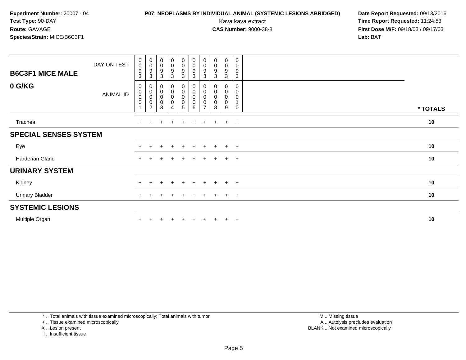# **P07: NEOPLASMS BY INDIVIDUAL ANIMAL (SYSTEMIC LESIONS ABRIDGED) Date Report Requested:** 09/13/2016

Kava kava extract **Time Report Requested:** 11:24:53<br>**CAS Number:** 9000-38-8 **Time Report Requested:** 11:24:53 **First Dose M/F:** 09/18/03 / 09/17/03<br>**Lab:** BAT **Lab:** BAT

| <b>B6C3F1 MICE MALE</b>      | DAY ON TEST | $\begin{smallmatrix}0\0\0\end{smallmatrix}$<br>$\boldsymbol{9}$<br>3 | $\begin{array}{c} 0 \\ 0 \\ 9 \\ 3 \end{array}$               | $\begin{smallmatrix}0\0\0\9\end{smallmatrix}$<br>$\mathbf 3$      | $\begin{matrix} 0 \\ 0 \\ 9 \\ 3 \end{matrix}$       | $\begin{smallmatrix}0\\0\\9\end{smallmatrix}$<br>$\mathbf{3}$   | $\begin{smallmatrix} 0\\0 \end{smallmatrix}$<br>$\boldsymbol{9}$<br>3 | $_{\rm 0}^{\rm 0}$<br>$\boldsymbol{9}$<br>3 | $\begin{smallmatrix}0\0\0\9\end{smallmatrix}$<br>$\mathfrak{Z}$ | $_{\rm 0}^{\rm 0}$<br>$\boldsymbol{9}$<br>$\sqrt{3}$    | 0<br>$\mathsf 0$<br>9<br>3                |          |
|------------------------------|-------------|----------------------------------------------------------------------|---------------------------------------------------------------|-------------------------------------------------------------------|------------------------------------------------------|-----------------------------------------------------------------|-----------------------------------------------------------------------|---------------------------------------------|-----------------------------------------------------------------|---------------------------------------------------------|-------------------------------------------|----------|
| 0 G/KG                       | ANIMAL ID   | 0<br>$\pmb{0}$<br>$\boldsymbol{0}$<br>$\mathbf 0$                    | $\begin{smallmatrix}0\0\0\0\0\end{smallmatrix}$<br>$\sqrt{2}$ | $\begin{smallmatrix}0\\0\\0\end{smallmatrix}$<br>$\mathbf 0$<br>3 | $\begin{smallmatrix}0\0\0\0\0\end{smallmatrix}$<br>4 | $\begin{smallmatrix}0\\0\\0\end{smallmatrix}$<br>$\pmb{0}$<br>5 | 0<br>$\pmb{0}$<br>$\pmb{0}$<br>$\mathbf 0$<br>6                       | 0<br>$\mathbf 0$<br>$\mathbf 0$<br>7        | 0<br>0<br>$\mathsf 0$<br>0<br>8                                 | 0<br>$\ddot{\mathbf{0}}$<br>$\pmb{0}$<br>$\pmb{0}$<br>9 | 0<br>0<br>$\mathbf 0$<br>$\mathbf 1$<br>0 | * TOTALS |
| Trachea                      |             | $+$                                                                  | $+$                                                           | $\pm$                                                             | $+$                                                  | $+$                                                             | $+$                                                                   | $+$                                         | $+$                                                             | $+$                                                     | $+$                                       | 10       |
| <b>SPECIAL SENSES SYSTEM</b> |             |                                                                      |                                                               |                                                                   |                                                      |                                                                 |                                                                       |                                             |                                                                 |                                                         |                                           |          |
| Eye                          |             |                                                                      |                                                               | ÷                                                                 | $+$                                                  | $+$                                                             | $+$                                                                   | $+$                                         | $+$                                                             | $+$                                                     | $+$                                       | 10       |
| Harderian Gland              |             | $\ddot{}$                                                            |                                                               |                                                                   |                                                      |                                                                 |                                                                       |                                             | $+$                                                             | $+$                                                     | $+$                                       | 10       |
| <b>URINARY SYSTEM</b>        |             |                                                                      |                                                               |                                                                   |                                                      |                                                                 |                                                                       |                                             |                                                                 |                                                         |                                           |          |
| Kidney                       |             | $\div$                                                               | +                                                             | $\pm$                                                             | $+$                                                  | $+$                                                             | $\ddot{}$                                                             | $+$                                         | $+$                                                             | $+$                                                     | $+$                                       | 10       |
| <b>Urinary Bladder</b>       |             | $+$                                                                  |                                                               |                                                                   | $\pm$                                                | $\pm$                                                           |                                                                       | $\pm$                                       | $\ddot{}$                                                       | $+$                                                     | $+$                                       | 10       |
| <b>SYSTEMIC LESIONS</b>      |             |                                                                      |                                                               |                                                                   |                                                      |                                                                 |                                                                       |                                             |                                                                 |                                                         |                                           |          |
| Multiple Organ               |             |                                                                      |                                                               |                                                                   |                                                      |                                                                 |                                                                       |                                             | ÷                                                               | $\pm$                                                   | $^{+}$                                    | 10       |

\* .. Total animals with tissue examined microscopically; Total animals with tumor

+ .. Tissue examined microscopically

- X .. Lesion present
- I .. Insufficient tissue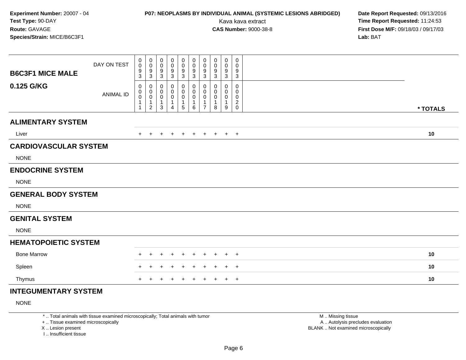# **P07: NEOPLASMS BY INDIVIDUAL ANIMAL (SYSTEMIC LESIONS ABRIDGED) Date Report Requested:** 09/13/2016

Kava kava extract **Time Report Requested:** 11:24:53<br>**CAS Number:** 9000-38-8 **Time Report Requested:** 11:24:53 **First Dose M/F:** 09/18/03 / 09/17/03<br>**Lab:** BAT **Lab:** BAT

| <b>B6C3F1 MICE MALE</b>      | DAY ON TEST      | 0<br>0<br>9                                   | 0<br>$\mathbf 0$<br>$9\,$                                             | 0<br>$\mathbf 0$<br>9                | 0<br>0<br>9                | $\pmb{0}$<br>$\pmb{0}$<br>$\frac{9}{3}$ | 0<br>$\mathbf 0$<br>9                             | $\pmb{0}$<br>$\mathbf 0$<br>9                                                     | 0<br>0<br>9           | $\mathbf 0$<br>0<br>9                          | $\,0\,$<br>0<br>9                                                   |          |
|------------------------------|------------------|-----------------------------------------------|-----------------------------------------------------------------------|--------------------------------------|----------------------------|-----------------------------------------|---------------------------------------------------|-----------------------------------------------------------------------------------|-----------------------|------------------------------------------------|---------------------------------------------------------------------|----------|
| 0.125 G/KG                   | <b>ANIMAL ID</b> | 3<br>0<br>0<br>$\pmb{0}$<br>1<br>$\mathbf{1}$ | $\sqrt{3}$<br>0<br>$\pmb{0}$<br>$\,0\,$<br>$\mathbf{1}$<br>$\sqrt{2}$ | 3<br>0<br>0<br>$\mathbf 0$<br>1<br>3 | 3<br>0<br>0<br>0<br>1<br>4 | 0<br>$\pmb{0}$<br>$\pmb{0}$<br>1<br>5   | 3<br>0<br>0<br>$\mathbf 0$<br>1<br>$6\phantom{1}$ | $\sqrt{3}$<br>0<br>$\mathbf 0$<br>$\mathbf 0$<br>$\overline{1}$<br>$\overline{7}$ | 3<br>0<br>0<br>0<br>8 | 3<br>0<br>$\mathbf 0$<br>$\mathbf 0$<br>1<br>9 | 3<br>0<br>0<br>$\mathbf 0$<br>$\overline{c}$<br>$\mathsf{O}\xspace$ | * TOTALS |
| <b>ALIMENTARY SYSTEM</b>     |                  |                                               |                                                                       |                                      |                            |                                         |                                                   |                                                                                   |                       |                                                |                                                                     |          |
| Liver                        |                  | $+$                                           | $+$                                                                   | $+$                                  | $+$                        | $+$                                     | $+$                                               | $+$                                                                               |                       | $+$ $+$ $+$                                    |                                                                     | 10       |
| <b>CARDIOVASCULAR SYSTEM</b> |                  |                                               |                                                                       |                                      |                            |                                         |                                                   |                                                                                   |                       |                                                |                                                                     |          |
| <b>NONE</b>                  |                  |                                               |                                                                       |                                      |                            |                                         |                                                   |                                                                                   |                       |                                                |                                                                     |          |
| <b>ENDOCRINE SYSTEM</b>      |                  |                                               |                                                                       |                                      |                            |                                         |                                                   |                                                                                   |                       |                                                |                                                                     |          |
| <b>NONE</b>                  |                  |                                               |                                                                       |                                      |                            |                                         |                                                   |                                                                                   |                       |                                                |                                                                     |          |
| <b>GENERAL BODY SYSTEM</b>   |                  |                                               |                                                                       |                                      |                            |                                         |                                                   |                                                                                   |                       |                                                |                                                                     |          |
| <b>NONE</b>                  |                  |                                               |                                                                       |                                      |                            |                                         |                                                   |                                                                                   |                       |                                                |                                                                     |          |
| <b>GENITAL SYSTEM</b>        |                  |                                               |                                                                       |                                      |                            |                                         |                                                   |                                                                                   |                       |                                                |                                                                     |          |
| <b>NONE</b>                  |                  |                                               |                                                                       |                                      |                            |                                         |                                                   |                                                                                   |                       |                                                |                                                                     |          |
| <b>HEMATOPOIETIC SYSTEM</b>  |                  |                                               |                                                                       |                                      |                            |                                         |                                                   |                                                                                   |                       |                                                |                                                                     |          |
| <b>Bone Marrow</b>           |                  | +                                             |                                                                       |                                      |                            | $\overline{+}$                          | $\ddot{}$                                         | $\pm$                                                                             | $\pm$                 | $\pm$                                          | $+$                                                                 | 10       |
| Spleen                       |                  | $^+$                                          |                                                                       |                                      |                            | $\overline{ }$                          | ÷                                                 |                                                                                   | ÷                     | $\pm$                                          | $+$                                                                 | 10       |
| Thymus                       |                  | $+$                                           | $\ddot{}$                                                             | $\ddot{}$                            | $\ddot{}$                  | $\overline{+}$                          | $+$                                               | $+$                                                                               | $+$                   |                                                | $+$ $+$                                                             | 10       |
| <b>INTEGUMENTARY SYSTEM</b>  |                  |                                               |                                                                       |                                      |                            |                                         |                                                   |                                                                                   |                       |                                                |                                                                     |          |

NONE

\* .. Total animals with tissue examined microscopically; Total animals with tumor

+ .. Tissue examined microscopically

X .. Lesion present

I .. Insufficient tissue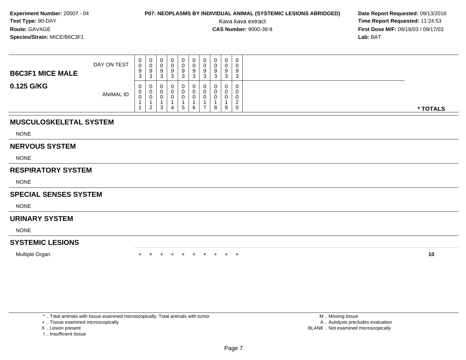# **P07: NEOPLASMS BY INDIVIDUAL ANIMAL (SYSTEMIC LESIONS ABRIDGED) Date Report Requested: 09/13/2016<br>Kava kava extract <b>Time Report Requested:** 11:24:53

Kava kava extract **Time Report Requested:** 11:24:53<br>**CAS Number:** 9000-38-8<br>**Tirst Dose M/F:** 09/18/03 / 09/17/03 **First Dose M/F:** 09/18/03 / 09/17/03<br>**Lab:** BAT **Lab:** BAT

| <b>B6C3F1 MICE MALE</b> | DAY ON TEST      | 0<br>0<br>9<br>$\sim$<br>- J | $\mathbf 0$<br>◡<br>9<br>3   | 0<br>υ<br>9<br><sup>o</sup><br>ັ | 0<br>9<br>- 3 | 0<br>0<br>9<br>3 | 0<br>9<br>◠<br>ບ | 0<br>0<br>-9<br>3                | 0<br>0<br>9<br>ີ<br>◡ | 0<br>0<br>9<br>◡ | 0<br>0<br>9<br>ົ<br>د. |          |
|-------------------------|------------------|------------------------------|------------------------------|----------------------------------|---------------|------------------|------------------|----------------------------------|-----------------------|------------------|------------------------|----------|
| 0.125 G/KG              | <b>ANIMAL ID</b> | 0<br>0<br>0                  | 0<br>U<br>υ<br>2<br><u>_</u> | 0<br>0<br>υ<br>ົ<br>ບ            | 4             | 0<br>0<br>0<br>5 | 0<br>6           | $\overline{0}$<br>$\overline{ }$ | 0<br>0<br>0<br>8      | 0<br>9           | 0<br>0<br>0<br>ົ<br>0  | * TOTALS |

### **MUSCULOSKELETAL SYSTEM**

NONE

#### **NERVOUS SYSTEM**

NONE

### **RESPIRATORY SYSTEM**

NONE

### **SPECIAL SENSES SYSTEM**

NONE

#### **URINARY SYSTEM**

NONE

### **SYSTEMIC LESIONS**

Multiple Organn  $+$ 

<sup>+</sup> <sup>+</sup> <sup>+</sup> <sup>+</sup> <sup>+</sup> <sup>+</sup> <sup>+</sup> <sup>+</sup> <sup>+</sup> **<sup>10</sup>**

\* .. Total animals with tissue examined microscopically; Total animals with tumor

+ .. Tissue examined microscopically

- X .. Lesion present
- I .. Insufficient tissue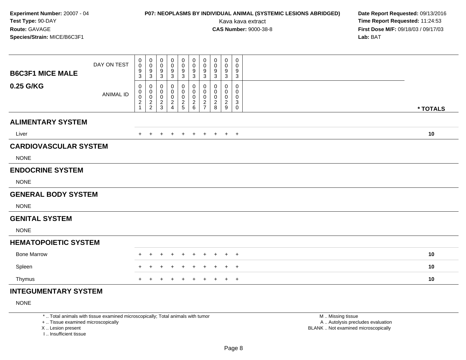# **P07: NEOPLASMS BY INDIVIDUAL ANIMAL (SYSTEMIC LESIONS ABRIDGED) Date Report Requested:** 09/13/2016

Kava kava extract **Time Report Requested:** 11:24:53<br>**CAS Number:** 9000-38-8 **Time Report Requested:** 11:24:53 **First Dose M/F:** 09/18/03 / 09/17/03<br>**Lab:** BAT **Lab:** BAT

| <b>B6C3F1 MICE MALE</b>      | DAY ON TEST      | 0<br>0<br>9                                 | 0<br>0<br>$\boldsymbol{9}$                | 0<br>$\mathbf 0$<br>9                       | $\pmb{0}$<br>0<br>9                                  | $\pmb{0}$<br>0<br>$\boldsymbol{9}$        | $\mathbf 0$<br>0<br>$\boldsymbol{9}$                             | $\boldsymbol{0}$<br>$\boldsymbol{0}$<br>$\boldsymbol{9}$         | 0<br>0<br>9                             | 0<br>0<br>9                               | 0<br>0<br>9                          |          |
|------------------------------|------------------|---------------------------------------------|-------------------------------------------|---------------------------------------------|------------------------------------------------------|-------------------------------------------|------------------------------------------------------------------|------------------------------------------------------------------|-----------------------------------------|-------------------------------------------|--------------------------------------|----------|
| 0.25 G/KG                    | <b>ANIMAL ID</b> | 3<br>0<br>0<br>$\mathbf 0$<br>$\frac{2}{1}$ | 3<br>0<br>0<br>$\pmb{0}$<br>$\frac{2}{2}$ | 3<br>0<br>$\mathbf 0$<br>0<br>$\frac{2}{3}$ | 3<br>0<br>0<br>0<br>$\overline{c}$<br>$\overline{4}$ | 3<br>0<br>0<br>$\pmb{0}$<br>$\frac{2}{5}$ | 3<br>$\mathbf{0}$<br>$\mathbf 0$<br>$\mathbf 0$<br>$\frac{2}{6}$ | $\mathbf{3}$<br>0<br>$\mathbf 0$<br>$\mathbf 0$<br>$\frac{2}{7}$ | 3<br>0<br>0<br>0<br>$\overline{c}$<br>8 | 3<br>0<br>0<br>0<br>$\boldsymbol{2}$<br>9 | 3<br>0<br>0<br>0<br>3<br>$\mathbf 0$ | * TOTALS |
| <b>ALIMENTARY SYSTEM</b>     |                  |                                             |                                           |                                             |                                                      |                                           |                                                                  |                                                                  |                                         |                                           |                                      |          |
| Liver                        |                  | $+$                                         | $+$                                       | $+$                                         | $+$                                                  | $+$                                       | $+$                                                              | $+$                                                              | $+$                                     |                                           | $+$ $+$                              | 10       |
| <b>CARDIOVASCULAR SYSTEM</b> |                  |                                             |                                           |                                             |                                                      |                                           |                                                                  |                                                                  |                                         |                                           |                                      |          |
| <b>NONE</b>                  |                  |                                             |                                           |                                             |                                                      |                                           |                                                                  |                                                                  |                                         |                                           |                                      |          |
| <b>ENDOCRINE SYSTEM</b>      |                  |                                             |                                           |                                             |                                                      |                                           |                                                                  |                                                                  |                                         |                                           |                                      |          |
| <b>NONE</b>                  |                  |                                             |                                           |                                             |                                                      |                                           |                                                                  |                                                                  |                                         |                                           |                                      |          |
| <b>GENERAL BODY SYSTEM</b>   |                  |                                             |                                           |                                             |                                                      |                                           |                                                                  |                                                                  |                                         |                                           |                                      |          |
| <b>NONE</b>                  |                  |                                             |                                           |                                             |                                                      |                                           |                                                                  |                                                                  |                                         |                                           |                                      |          |
| <b>GENITAL SYSTEM</b>        |                  |                                             |                                           |                                             |                                                      |                                           |                                                                  |                                                                  |                                         |                                           |                                      |          |
| <b>NONE</b>                  |                  |                                             |                                           |                                             |                                                      |                                           |                                                                  |                                                                  |                                         |                                           |                                      |          |
| <b>HEMATOPOIETIC SYSTEM</b>  |                  |                                             |                                           |                                             |                                                      |                                           |                                                                  |                                                                  |                                         |                                           |                                      |          |
| <b>Bone Marrow</b>           |                  | +                                           |                                           | ٠                                           | ٠                                                    | $\pm$                                     | $\pm$                                                            | $\pm$                                                            | $\ddot{}$                               | $+$                                       | $+$                                  | 10       |
| Spleen                       |                  | +                                           |                                           | $\pm$                                       |                                                      | $\div$                                    | $\overline{+}$                                                   | $\pm$                                                            | $\ddot{}$                               | $+$                                       | $+$                                  | 10       |
| Thymus                       |                  | $\pm$                                       |                                           |                                             |                                                      |                                           | $\ddot{}$                                                        | $\ddot{}$                                                        | $\pm$                                   | $+$                                       | $+$                                  | 10       |
| <b>INTEGUMENTARY SYSTEM</b>  |                  |                                             |                                           |                                             |                                                      |                                           |                                                                  |                                                                  |                                         |                                           |                                      |          |

NONE

\* .. Total animals with tissue examined microscopically; Total animals with tumor

+ .. Tissue examined microscopically

X .. Lesion present

I .. Insufficient tissue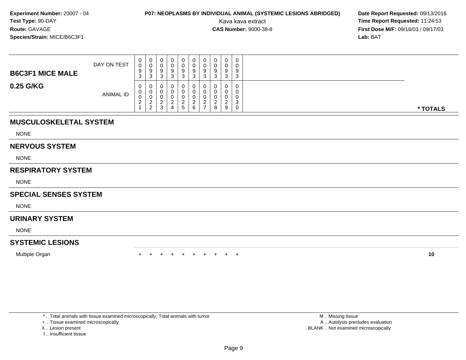# **P07: NEOPLASMS BY INDIVIDUAL ANIMAL (SYSTEMIC LESIONS ABRIDGED) Date Report Requested: 09/13/2016<br>Kava kava extract <b>Time Report Requested:** 11:24:53

Kava kava extract **Time Report Requested:** 11:24:53<br>**CAS Number:** 9000-38-8<br>**Tirst Dose M/F:** 09/18/03 / 09/17/03 **First Dose M/F:** 09/18/03 / 09/17/03<br>**Lab:** BAT **Lab:** BAT

| <b>B6C3F1 MICE MALE</b> | DAY ON TEST      | $\mathbf{0}$<br>0<br>9<br><b>ن</b> | 0<br>U<br>-9<br>3      |  | 0.<br>9<br>3 | 0<br>9<br>3 | U<br>U<br>-9<br>3                 | ີ | 0<br>Ω<br>3   | 0<br>0<br>9<br>3      |          |
|-------------------------|------------------|------------------------------------|------------------------|--|--------------|-------------|-----------------------------------|---|---------------|-----------------------|----------|
| 0.25 G/KG               | <b>ANIMAL ID</b> | 0<br>U<br>◡<br>$\epsilon$          | 0<br>0<br>U<br>c<br>ົາ |  | 0<br>5       | 0<br>ົ<br>6 | U<br>υ<br>υ<br>ി<br>$\rightarrow$ | 8 | $\Omega$<br>9 | 0<br>0<br>0<br>3<br>0 | * TOTALS |

### **MUSCULOSKELETAL SYSTEM**

NONE

#### **NERVOUS SYSTEM**

NONE

### **RESPIRATORY SYSTEM**

NONE

### **SPECIAL SENSES SYSTEM**

NONE

### **URINARY SYSTEM**

NONE

### **SYSTEMIC LESIONS**

Multiple Organn  $+$ 

<sup>+</sup> <sup>+</sup> <sup>+</sup> <sup>+</sup> <sup>+</sup> <sup>+</sup> <sup>+</sup> <sup>+</sup> <sup>+</sup> **<sup>10</sup>**

\* .. Total animals with tissue examined microscopically; Total animals with tumor

+ .. Tissue examined microscopically

- X .. Lesion present
- I .. Insufficient tissue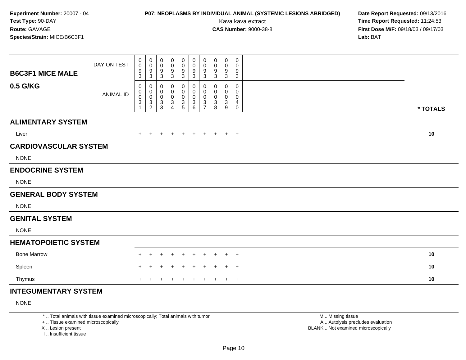# **P07: NEOPLASMS BY INDIVIDUAL ANIMAL (SYSTEMIC LESIONS ABRIDGED) Date Report Requested:** 09/13/2016

Kava kava extract **Time Report Requested:** 11:24:53<br>**CAS Number:** 9000-38-8 **Time Report Requested:** 11:24:53 **First Dose M/F:** 09/18/03 / 09/17/03<br>**Lab:** BAT **Lab:** BAT

| <b>B6C3F1 MICE MALE</b>      | DAY ON TEST      | 0<br>$\mathbf 0$<br>9<br>3               | $\mathbf 0$<br>$\mathbf 0$<br>$\boldsymbol{9}$<br>3                  | $\pmb{0}$<br>$\pmb{0}$<br>9<br>$\mathbf{3}$                                | 0<br>0<br>9<br>$\mathbf{3}$                 | $\mathbf 0$<br>$\pmb{0}$<br>$\boldsymbol{9}$<br>3 | 0<br>$\pmb{0}$<br>$\boldsymbol{9}$<br>$\mathbf{3}$         | $\pmb{0}$<br>$\pmb{0}$<br>9<br>3       | 0<br>0<br>9<br>3             | $\mathbf 0$<br>0<br>9<br>$\mathbf{3}$         | $\mathbf 0$<br>0<br>9<br>$\mathbf{3}$ |          |  |
|------------------------------|------------------|------------------------------------------|----------------------------------------------------------------------|----------------------------------------------------------------------------|---------------------------------------------|---------------------------------------------------|------------------------------------------------------------|----------------------------------------|------------------------------|-----------------------------------------------|---------------------------------------|----------|--|
| 0.5 G/KG                     | <b>ANIMAL ID</b> | 0<br>0<br>$\pmb{0}$<br>3<br>$\mathbf{1}$ | 0<br>0<br>$\mathbf 0$<br>$\ensuremath{\mathsf{3}}$<br>$\overline{2}$ | 0<br>$\mathbf 0$<br>$\pmb{0}$<br>$\ensuremath{\mathsf{3}}$<br>$\mathbf{3}$ | 0<br>0<br>0<br>$\sqrt{3}$<br>$\overline{4}$ | 0<br>0<br>$\pmb{0}$<br>$\frac{3}{5}$              | 0<br>0<br>0<br>$\ensuremath{\mathsf{3}}$<br>$6\phantom{a}$ | 0<br>$\mathbf 0$<br>0<br>$\frac{3}{7}$ | $\Omega$<br>0<br>0<br>3<br>8 | 0<br>0<br>0<br>$\ensuremath{\mathsf{3}}$<br>9 | $\mathbf 0$<br>0<br>0<br>4<br>0       | * TOTALS |  |
| <b>ALIMENTARY SYSTEM</b>     |                  |                                          |                                                                      |                                                                            |                                             |                                                   |                                                            |                                        |                              |                                               |                                       |          |  |
| Liver                        |                  | $+$                                      | $+$                                                                  | $+$                                                                        | $+$                                         | $+$ $+$                                           |                                                            | $+$                                    | + + +                        |                                               |                                       | 10       |  |
| <b>CARDIOVASCULAR SYSTEM</b> |                  |                                          |                                                                      |                                                                            |                                             |                                                   |                                                            |                                        |                              |                                               |                                       |          |  |
| <b>NONE</b>                  |                  |                                          |                                                                      |                                                                            |                                             |                                                   |                                                            |                                        |                              |                                               |                                       |          |  |
| <b>ENDOCRINE SYSTEM</b>      |                  |                                          |                                                                      |                                                                            |                                             |                                                   |                                                            |                                        |                              |                                               |                                       |          |  |
| <b>NONE</b>                  |                  |                                          |                                                                      |                                                                            |                                             |                                                   |                                                            |                                        |                              |                                               |                                       |          |  |
| <b>GENERAL BODY SYSTEM</b>   |                  |                                          |                                                                      |                                                                            |                                             |                                                   |                                                            |                                        |                              |                                               |                                       |          |  |
| <b>NONE</b>                  |                  |                                          |                                                                      |                                                                            |                                             |                                                   |                                                            |                                        |                              |                                               |                                       |          |  |
| <b>GENITAL SYSTEM</b>        |                  |                                          |                                                                      |                                                                            |                                             |                                                   |                                                            |                                        |                              |                                               |                                       |          |  |
| <b>NONE</b>                  |                  |                                          |                                                                      |                                                                            |                                             |                                                   |                                                            |                                        |                              |                                               |                                       |          |  |
| <b>HEMATOPOIETIC SYSTEM</b>  |                  |                                          |                                                                      |                                                                            |                                             |                                                   |                                                            |                                        |                              |                                               |                                       |          |  |
| <b>Bone Marrow</b>           |                  | $+$                                      | $+$                                                                  | $\ddot{}$                                                                  | $+$                                         | $\pm$                                             | $+$                                                        | $+$                                    | $\pm$                        | $+$                                           | $+$                                   | 10       |  |
| Spleen                       |                  |                                          |                                                                      | ÷                                                                          | ÷                                           |                                                   | $\pm$                                                      | $\pm$                                  | $\pm$                        | $+$                                           | $+$                                   | 10       |  |
| Thymus                       |                  | $\pm$                                    | $+$                                                                  | $\pm$                                                                      | $\pm$                                       | $\pm$                                             | $+$                                                        | $+$                                    | $\pm$                        |                                               | $+$ $+$                               | 10       |  |
| <b>INTEGUMENTARY SYSTEM</b>  |                  |                                          |                                                                      |                                                                            |                                             |                                                   |                                                            |                                        |                              |                                               |                                       |          |  |

NONE

\* .. Total animals with tissue examined microscopically; Total animals with tumor

+ .. Tissue examined microscopically

X .. Lesion present

I .. Insufficient tissue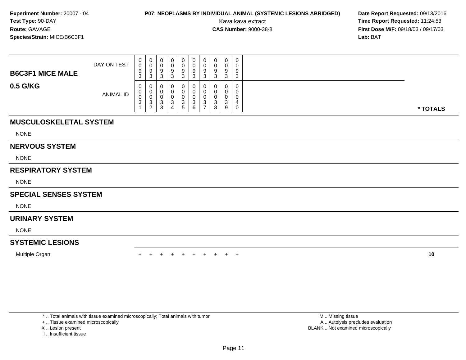# **P07: NEOPLASMS BY INDIVIDUAL ANIMAL (SYSTEMIC LESIONS ABRIDGED) Date Report Requested: 09/13/2016<br>Kava kava extract <b>Time Report Requested:** 11:24:53

Kava kava extract **Time Report Requested:** 11:24:53<br>**CAS Number:** 9000-38-8<br>**Tirst Dose M/F:** 09/18/03 / 09/17/03 **First Dose M/F:** 09/18/03 / 09/17/03<br>**Lab:** BAT **Lab:** BAT

| <b>B6C3F1 MICE MALE</b> | DAY ON TEST      | U<br>U<br>9<br>$\sim$<br><b>ت</b> | 0<br>ັບ<br>9<br>3                 | 0<br>0<br>9<br>◠<br>ູບ          | 0<br>9<br>ت | $\mathbf{0}$<br>0<br>9<br>3 | 0<br>U<br>9<br>2<br>J | 0<br>U<br>9<br>3      | 0<br>v<br>9<br>3           | $\circ$<br>3 | $\sim$<br>C. |          |
|-------------------------|------------------|-----------------------------------|-----------------------------------|---------------------------------|-------------|-----------------------------|-----------------------|-----------------------|----------------------------|--------------|--------------|----------|
| 0.5 G/KG                | <b>ANIMAL ID</b> | 0<br>v<br>J<br>$\sim$<br>ഄ        | U<br>U<br>v<br>3<br>ົ<br><u>_</u> | 0<br>0<br>0<br>ົ<br>◡<br>ົ<br>◡ | ت<br>4      | 0<br>0<br>3<br>$\mathbf b$  | 0<br>っ<br>J<br>6      | 0<br>0<br>0<br>3<br>- | 0<br>U<br>U<br>ີ<br>◡<br>8 | $\sim$<br>9  |              | * TOTALS |

### **MUSCULOSKELETAL SYSTEM**

NONE

#### **NERVOUS SYSTEM**

NONE

### **RESPIRATORY SYSTEM**

NONE

### **SPECIAL SENSES SYSTEM**

NONE

#### **URINARY SYSTEM**

NONE

### **SYSTEMIC LESIONS**

Multiple Organn  $+$ 

<sup>+</sup> <sup>+</sup> <sup>+</sup> <sup>+</sup> <sup>+</sup> <sup>+</sup> <sup>+</sup> <sup>+</sup> <sup>+</sup> **<sup>10</sup>**

\* .. Total animals with tissue examined microscopically; Total animals with tumor

+ .. Tissue examined microscopically

- X .. Lesion present
- I .. Insufficient tissue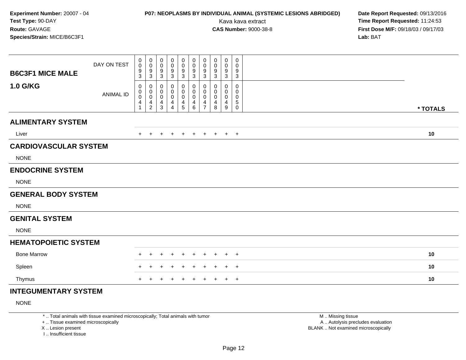# **P07: NEOPLASMS BY INDIVIDUAL ANIMAL (SYSTEMIC LESIONS ABRIDGED) Date Report Requested:** 09/13/2016

Kava kava extract **Time Report Requested:** 11:24:53<br>**CAS Number:** 9000-38-8 **Time Report Requested:** 11:24:53 **First Dose M/F:** 09/18/03 / 09/17/03<br>**Lab:** BAT **Lab:** BAT

| <b>B6C3F1 MICE MALE</b>      | DAY ON TEST      | 0<br>$\mathbf 0$<br>9<br>3               | $\mathbf 0$<br>0<br>9<br>$\mathbf{3}$            | $\pmb{0}$<br>$\pmb{0}$<br>$\frac{9}{3}$       | 0<br>0<br>9<br>3      | $\mathbf 0$<br>$\mathsf 0$<br>$\frac{9}{3}$ | 0<br>0<br>9<br>$\mathbf{3}$ | $\pmb{0}$<br>$\mathbf 0$<br>9<br>$\mathbf{3}$          | 0<br>0<br>9<br>3      | $\pmb{0}$<br>0<br>9<br>$\mathbf{3}$             | 0<br>0<br>9<br>3             |          |  |
|------------------------------|------------------|------------------------------------------|--------------------------------------------------|-----------------------------------------------|-----------------------|---------------------------------------------|-----------------------------|--------------------------------------------------------|-----------------------|-------------------------------------------------|------------------------------|----------|--|
| <b>1.0 G/KG</b>              | <b>ANIMAL ID</b> | 0<br>0<br>$\pmb{0}$<br>4<br>$\mathbf{1}$ | 0<br>0<br>$\mathsf{O}\xspace$<br>4<br>$\sqrt{2}$ | 0<br>0<br>$\boldsymbol{0}$<br>4<br>$\sqrt{3}$ | 0<br>0<br>0<br>4<br>4 | 0<br>0<br>$\pmb{0}$<br>4<br>$\sqrt{5}$      | 0<br>0<br>0<br>4<br>6       | $\mathbf 0$<br>$\mathbf 0$<br>0<br>4<br>$\overline{7}$ | 0<br>0<br>0<br>4<br>8 | $\mathbf{0}$<br>0<br>0<br>4<br>$\boldsymbol{9}$ | 0<br>$\Omega$<br>0<br>5<br>0 | * TOTALS |  |
| <b>ALIMENTARY SYSTEM</b>     |                  |                                          |                                                  |                                               |                       |                                             |                             |                                                        |                       |                                                 |                              |          |  |
| Liver                        |                  | $+$                                      | $+$                                              | $+$                                           | $+$                   | $+$ $+$                                     |                             | $+$                                                    | + + +                 |                                                 |                              | 10       |  |
| <b>CARDIOVASCULAR SYSTEM</b> |                  |                                          |                                                  |                                               |                       |                                             |                             |                                                        |                       |                                                 |                              |          |  |
| <b>NONE</b>                  |                  |                                          |                                                  |                                               |                       |                                             |                             |                                                        |                       |                                                 |                              |          |  |
| <b>ENDOCRINE SYSTEM</b>      |                  |                                          |                                                  |                                               |                       |                                             |                             |                                                        |                       |                                                 |                              |          |  |
| <b>NONE</b>                  |                  |                                          |                                                  |                                               |                       |                                             |                             |                                                        |                       |                                                 |                              |          |  |
| <b>GENERAL BODY SYSTEM</b>   |                  |                                          |                                                  |                                               |                       |                                             |                             |                                                        |                       |                                                 |                              |          |  |
| <b>NONE</b>                  |                  |                                          |                                                  |                                               |                       |                                             |                             |                                                        |                       |                                                 |                              |          |  |
| <b>GENITAL SYSTEM</b>        |                  |                                          |                                                  |                                               |                       |                                             |                             |                                                        |                       |                                                 |                              |          |  |
| <b>NONE</b>                  |                  |                                          |                                                  |                                               |                       |                                             |                             |                                                        |                       |                                                 |                              |          |  |
| <b>HEMATOPOIETIC SYSTEM</b>  |                  |                                          |                                                  |                                               |                       |                                             |                             |                                                        |                       |                                                 |                              |          |  |
| <b>Bone Marrow</b>           |                  | $+$                                      | $+$                                              | $\pm$                                         | $+$                   | $\pm$                                       | $+$                         | $\ddot{}$                                              | $\pm$                 | $+$                                             | $+$                          | 10       |  |
| Spleen                       |                  |                                          |                                                  | ÷                                             | ÷                     |                                             | $\pm$                       | $\pm$                                                  | $\pm$                 | $+$                                             | $+$                          | 10       |  |
| Thymus                       |                  | $\pm$                                    | $+$                                              | $+$                                           | $\pm$                 | $\pm$                                       | $+$                         | $+$                                                    | $\pm$                 |                                                 | $+$ $+$                      | 10       |  |
| <b>INTEGUMENTARY SYSTEM</b>  |                  |                                          |                                                  |                                               |                       |                                             |                             |                                                        |                       |                                                 |                              |          |  |

NONE

\* .. Total animals with tissue examined microscopically; Total animals with tumor

+ .. Tissue examined microscopically

X .. Lesion present

I .. Insufficient tissue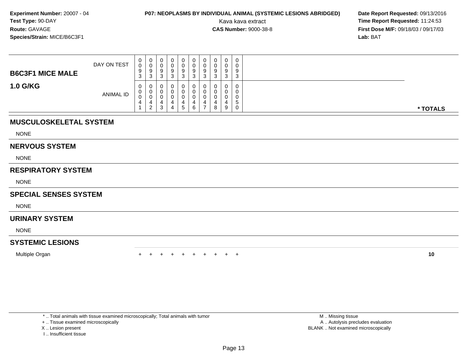# **P07: NEOPLASMS BY INDIVIDUAL ANIMAL (SYSTEMIC LESIONS ABRIDGED) Date Report Requested: 09/13/2016<br>Kava kava extract <b>Time Report Requested:** 11:24:53

Kava kava extract **Time Report Requested:** 11:24:53<br>**CAS Number:** 9000-38-8<br>**Tirst Dose M/F:** 09/18/03 / 09/17/03 **First Dose M/F:** 09/18/03 / 09/17/03<br>**Lab:** BAT **Lab:** BAT

| <b>B6C3F1 MICE MALE</b> | DAY ON TEST      | $\mathbf{0}$<br>0<br>9<br>ົ<br><b>ت</b> | $\mathbf 0$<br>◡<br>9<br>3        | 0<br>U<br>9<br>ົ<br>ັ      | 0<br>v<br>g<br>ು | $\mathbf{0}$<br>0<br>9<br>3 | 0<br>ν<br>9<br>ີ<br>J | 0<br>0<br>9<br>3 | 0<br>0<br>9<br>3 | $\Omega$<br>ີ<br>◡ | v<br>$\sim$<br>చ |          |
|-------------------------|------------------|-----------------------------------------|-----------------------------------|----------------------------|------------------|-----------------------------|-----------------------|------------------|------------------|--------------------|------------------|----------|
| <b>1.0 G/KG</b>         | <b>ANIMAL ID</b> | 0<br>0<br>0<br>4                        | U<br>U<br>U<br>4<br>2<br><u>_</u> | 0<br>0<br>υ<br>≖<br>ີ<br>ت | 4<br>4           | 0<br>0<br>0<br>5            | 0<br>4<br>6           | 0<br>0<br>0<br>4 | 0<br>0<br>0<br>8 | 9                  | 5<br>v           | * TOTALS |

### **MUSCULOSKELETAL SYSTEM**

NONE

#### **NERVOUS SYSTEM**

NONE

### **RESPIRATORY SYSTEM**

NONE

### **SPECIAL SENSES SYSTEM**

NONE

#### **URINARY SYSTEM**

NONE

### **SYSTEMIC LESIONS**

Multiple Organn  $+$ 

<sup>+</sup> <sup>+</sup> <sup>+</sup> <sup>+</sup> <sup>+</sup> <sup>+</sup> <sup>+</sup> <sup>+</sup> <sup>+</sup> **<sup>10</sup>**

\* .. Total animals with tissue examined microscopically; Total animals with tumor

+ .. Tissue examined microscopically

- X .. Lesion present
- I .. Insufficient tissue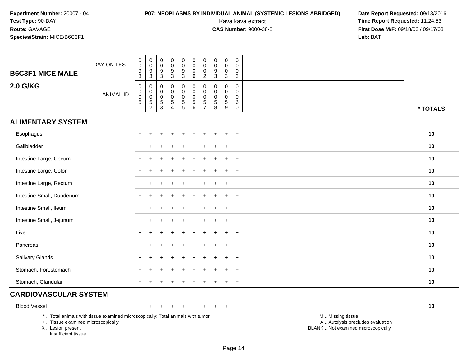# **P07: NEOPLASMS BY INDIVIDUAL ANIMAL (SYSTEMIC LESIONS ABRIDGED) Date Report Requested:** 09/13/2016

| <b>B6C3F1 MICE MALE</b>                                                                                                                                             | DAY ON TEST      | $\begin{smallmatrix}0\\0\end{smallmatrix}$<br>$\overline{9}$<br>$\overline{3}$ | $\begin{matrix} 0 \\ 0 \\ 9 \\ 3 \end{matrix}$         | $\pmb{0}$<br>$\mathsf{O}\xspace$<br>9<br>$\overline{3}$ | $\pmb{0}$<br>$\mathbf 0$<br>9<br>$\overline{3}$            | $\pmb{0}$<br>$\pmb{0}$<br>$\boldsymbol{9}$<br>$\overline{3}$ | $\pmb{0}$<br>$\mathsf{O}\xspace$<br>$\mathbf 0$<br>6               | $\mathbf 0$<br>$\mathsf{O}\xspace$<br>$\mathbf 0$<br>$\overline{2}$ | $\pmb{0}$<br>$\pmb{0}$<br>$\boldsymbol{9}$<br>$\overline{3}$   | $\pmb{0}$<br>$\pmb{0}$<br>$\mathbf 0$<br>$\overline{3}$          | 0<br>$\mathbf 0$<br>$\mathbf 0$<br>$\mathbf{3}$             |                                                                                               |
|---------------------------------------------------------------------------------------------------------------------------------------------------------------------|------------------|--------------------------------------------------------------------------------|--------------------------------------------------------|---------------------------------------------------------|------------------------------------------------------------|--------------------------------------------------------------|--------------------------------------------------------------------|---------------------------------------------------------------------|----------------------------------------------------------------|------------------------------------------------------------------|-------------------------------------------------------------|-----------------------------------------------------------------------------------------------|
| <b>2.0 G/KG</b>                                                                                                                                                     | <b>ANIMAL ID</b> | 0<br>$\mathbf 0$<br>$\mathbf 0$<br>$\frac{5}{1}$                               | $\pmb{0}$<br>$\pmb{0}$<br>$\mathsf 0$<br>$\frac{5}{2}$ | 0<br>0<br>$\mathbf 0$<br>$\frac{5}{3}$                  | $\mathbf 0$<br>$\mathbf 0$<br>$\mathbf 0$<br>$\frac{5}{4}$ | 0<br>$\pmb{0}$<br>$\mathbf 0$<br>$\overline{5}$              | $\mathbf 0$<br>$\mathsf{O}\xspace$<br>$\mathbf 0$<br>$\frac{5}{6}$ | $\mathbf 0$<br>$\mathbf 0$<br>$\Omega$<br>$\frac{5}{7}$             | $\mathbf 0$<br>0<br>0<br>$\begin{array}{c} 5 \\ 8 \end{array}$ | $\mathbf 0$<br>$\mathbf 0$<br>$\mathbf 0$<br>$\overline{5}$<br>9 | $\mathbf 0$<br>$\mathbf 0$<br>$\mathbf 0$<br>6<br>$\pmb{0}$ | * TOTALS                                                                                      |
| <b>ALIMENTARY SYSTEM</b>                                                                                                                                            |                  |                                                                                |                                                        |                                                         |                                                            |                                                              |                                                                    |                                                                     |                                                                |                                                                  |                                                             |                                                                                               |
| Esophagus                                                                                                                                                           |                  |                                                                                |                                                        |                                                         |                                                            |                                                              |                                                                    |                                                                     |                                                                |                                                                  | $\overline{ }$                                              | 10                                                                                            |
| Gallbladder                                                                                                                                                         |                  |                                                                                |                                                        |                                                         |                                                            |                                                              |                                                                    |                                                                     |                                                                |                                                                  | $\overline{ }$                                              | 10                                                                                            |
| Intestine Large, Cecum                                                                                                                                              |                  |                                                                                |                                                        |                                                         |                                                            |                                                              |                                                                    |                                                                     |                                                                |                                                                  | $+$                                                         | 10                                                                                            |
| Intestine Large, Colon                                                                                                                                              |                  |                                                                                |                                                        |                                                         |                                                            |                                                              |                                                                    |                                                                     |                                                                |                                                                  | $\ddot{}$                                                   | 10                                                                                            |
| Intestine Large, Rectum                                                                                                                                             |                  |                                                                                |                                                        |                                                         |                                                            |                                                              |                                                                    |                                                                     |                                                                |                                                                  | $\ddot{}$                                                   | 10                                                                                            |
| Intestine Small, Duodenum                                                                                                                                           |                  |                                                                                |                                                        |                                                         |                                                            |                                                              |                                                                    |                                                                     |                                                                |                                                                  | $\pm$                                                       | 10                                                                                            |
| Intestine Small, Ileum                                                                                                                                              |                  |                                                                                |                                                        |                                                         |                                                            |                                                              |                                                                    |                                                                     |                                                                |                                                                  | $+$                                                         | 10                                                                                            |
| Intestine Small, Jejunum                                                                                                                                            |                  |                                                                                |                                                        |                                                         |                                                            |                                                              |                                                                    |                                                                     |                                                                |                                                                  | $\overline{ }$                                              | 10                                                                                            |
| Liver                                                                                                                                                               |                  |                                                                                |                                                        |                                                         |                                                            |                                                              |                                                                    |                                                                     |                                                                |                                                                  | $\div$                                                      | 10                                                                                            |
| Pancreas                                                                                                                                                            |                  | $\pm$                                                                          |                                                        |                                                         |                                                            |                                                              |                                                                    |                                                                     |                                                                |                                                                  | $^{+}$                                                      | 10                                                                                            |
| Salivary Glands                                                                                                                                                     |                  |                                                                                |                                                        |                                                         |                                                            |                                                              |                                                                    |                                                                     |                                                                |                                                                  | $\ddot{}$                                                   | 10                                                                                            |
| Stomach, Forestomach                                                                                                                                                |                  |                                                                                |                                                        |                                                         |                                                            |                                                              |                                                                    |                                                                     |                                                                |                                                                  | $\ddot{}$                                                   | 10                                                                                            |
| Stomach, Glandular                                                                                                                                                  |                  |                                                                                |                                                        |                                                         |                                                            |                                                              |                                                                    |                                                                     |                                                                |                                                                  | $\div$                                                      | 10                                                                                            |
| <b>CARDIOVASCULAR SYSTEM</b>                                                                                                                                        |                  |                                                                                |                                                        |                                                         |                                                            |                                                              |                                                                    |                                                                     |                                                                |                                                                  |                                                             |                                                                                               |
| <b>Blood Vessel</b>                                                                                                                                                 |                  | $+$                                                                            |                                                        |                                                         |                                                            |                                                              |                                                                    |                                                                     |                                                                |                                                                  | $+$                                                         | 10                                                                                            |
| *  Total animals with tissue examined microscopically; Total animals with tumor<br>+  Tissue examined microscopically<br>X  Lesion present<br>I Insufficient tissue |                  |                                                                                |                                                        |                                                         |                                                            |                                                              |                                                                    |                                                                     |                                                                |                                                                  |                                                             | M  Missing tissue<br>A  Autolysis precludes evaluation<br>BLANK  Not examined microscopically |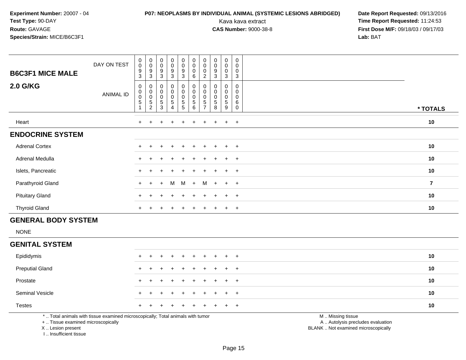# **P07: NEOPLASMS BY INDIVIDUAL ANIMAL (SYSTEMIC LESIONS ABRIDGED) Date Report Requested:** 09/13/2016

Kava kava extract **Time Report Requested:** 11:24:53<br>**CAS Number:** 9000-38-8 **Time Report Requested:** 11:24:53 **First Dose M/F:** 09/18/03 / 09/17/03<br>**Lab:** BAT **Lab:** BAT

| <b>B6C3F1 MICE MALE</b> | DAY ON TEST | $\mathbf 0$<br>$\pmb{0}$<br>9<br>3 | $\begin{smallmatrix}0\\0\end{smallmatrix}$<br>$\boldsymbol{9}$<br>$\mathsf 3$ | $\begin{smallmatrix}0\0\0\end{smallmatrix}$<br>$\boldsymbol{9}$<br>$\mathfrak{S}$ | $_{\rm 0}^{\rm 0}$<br>$\boldsymbol{9}$<br>3         | $\begin{smallmatrix}0\\0\\9\end{smallmatrix}$<br>$\mathbf{3}$ | $\begin{smallmatrix}0\\0\end{smallmatrix}$<br>$\pmb{0}$<br>6 | $\pmb{0}$<br>$\pmb{0}$<br>$\boldsymbol{0}$<br>$\overline{2}$ | $\begin{smallmatrix}0\0\0\end{smallmatrix}$<br>9<br>$\mathbf{3}$     | $\pmb{0}$<br>0<br>0<br>3            | 0<br>$\pmb{0}$<br>$\pmb{0}$<br>3                                            |                |
|-------------------------|-------------|------------------------------------|-------------------------------------------------------------------------------|-----------------------------------------------------------------------------------|-----------------------------------------------------|---------------------------------------------------------------|--------------------------------------------------------------|--------------------------------------------------------------|----------------------------------------------------------------------|-------------------------------------|-----------------------------------------------------------------------------|----------------|
| <b>2.0 G/KG</b>         | ANIMAL ID   | 0<br>$\pmb{0}$<br>$\pmb{0}$<br>5   | $\boldsymbol{0}$<br>0005                                                      | $\pmb{0}$<br>$_{\rm 0}^{\rm 0}$<br>$\frac{5}{3}$                                  | 0<br>$\begin{matrix} 0 \\ 0 \\ 5 \end{matrix}$<br>4 | $\pmb{0}$<br>$\begin{array}{c} 0 \\ 0 \\ 5 \\ 5 \end{array}$  | 0<br>$\pmb{0}$<br>$\pmb{0}$<br>$\,$ 5 $\,$<br>6              | $\pmb{0}$<br>$\boldsymbol{0}$<br>5<br>$\overline{7}$         | 0<br>$\begin{smallmatrix}0\0\0\end{smallmatrix}$<br>$\,$ 5 $\,$<br>8 | 0<br>0<br>0<br>$5\phantom{.0}$<br>9 | $\mathbf 0$<br>$\mathbf 0$<br>$\mathbf 0$<br>$6\phantom{1}6$<br>$\mathbf 0$ | * TOTALS       |
| Heart                   |             | $\ddot{}$                          |                                                                               | $\pm$                                                                             | $\pm$                                               |                                                               |                                                              |                                                              | $\overline{+}$                                                       | $+$                                 | $+$                                                                         | 10             |
| <b>ENDOCRINE SYSTEM</b> |             |                                    |                                                                               |                                                                                   |                                                     |                                                               |                                                              |                                                              |                                                                      |                                     |                                                                             |                |
| <b>Adrenal Cortex</b>   |             | $\ddot{}$                          |                                                                               | $\div$                                                                            | $\pm$                                               | $\div$                                                        | $\ddot{}$                                                    |                                                              | $\ddot{}$                                                            | $+$                                 | $+$                                                                         | 10             |
| Adrenal Medulla         |             | $\ddot{}$                          |                                                                               | $\pm$                                                                             | $\pm$                                               | $+$                                                           | $\pm$                                                        | $+$                                                          | $+$                                                                  | $+$                                 | $+$                                                                         | 10             |
| Islets, Pancreatic      |             | $\ddot{}$                          |                                                                               |                                                                                   | ÷                                                   |                                                               |                                                              |                                                              | $\overline{+}$                                                       | $+$                                 | $+$                                                                         | 10             |
| Parathyroid Gland       |             | $+$                                | $+$                                                                           | $+$                                                                               | M                                                   | M                                                             | $+$                                                          | M                                                            | $+$                                                                  | $+$                                 | $+$                                                                         | $\overline{7}$ |
| <b>Pituitary Gland</b>  |             | $\ddot{}$                          |                                                                               |                                                                                   | ÷                                                   |                                                               |                                                              |                                                              |                                                                      | $\pm$                               | $+$                                                                         | 10             |
| <b>Thyroid Gland</b>    |             | $\ddot{}$                          |                                                                               |                                                                                   |                                                     |                                                               |                                                              |                                                              |                                                                      | $\pm$                               | $+$                                                                         | 10             |

### **GENERAL BODY SYSTEM**

NONE

#### **GENITAL SYSTEM**

| Epididymis             |  | + + + + + + + + + + |  |  |  |                                                                                                                 | 10 |
|------------------------|--|---------------------|--|--|--|-----------------------------------------------------------------------------------------------------------------|----|
| <b>Preputial Gland</b> |  | + + + + + + + + + + |  |  |  |                                                                                                                 | 10 |
| Prostate               |  | + + + + + + + + + + |  |  |  |                                                                                                                 | 10 |
| <b>Seminal Vesicle</b> |  | + + + + + + + + + + |  |  |  |                                                                                                                 | 10 |
| <b>Testes</b>          |  | + + + + + + + + + + |  |  |  |                                                                                                                 | 10 |
|                        |  |                     |  |  |  | the contract of the contract of the contract of the contract of the contract of the contract of the contract of |    |

\* .. Total animals with tissue examined microscopically; Total animals with tumor

+ .. Tissue examined microscopically

X .. Lesion present

I .. Insufficient tissue

M .. Missing tissue

y the contract of the contract of the contract of the contract of the contract of the contract of the contract of  $A$ . Autolysis precludes evaluation

Lesion present BLANK .. Not examined microscopically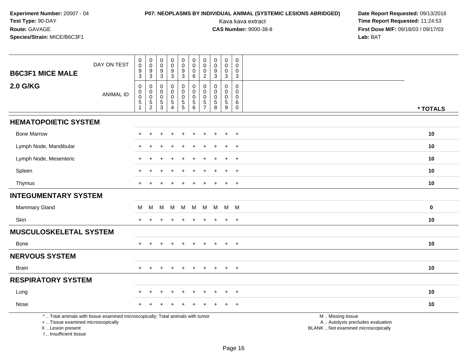# **P07: NEOPLASMS BY INDIVIDUAL ANIMAL (SYSTEMIC LESIONS ABRIDGED) Date Report Requested:** 09/13/2016

| <b>B6C3F1 MICE MALE</b>                                                          | DAY ON TEST                                                                     | 0<br>$\mathbf 0$<br>9<br>3                | $\pmb{0}$<br>$\pmb{0}$<br>$\frac{9}{3}$                | $\pmb{0}$<br>$\mathbf 0$<br>$\frac{9}{3}$                  | $\mathbf 0$<br>$\pmb{0}$<br>$\frac{9}{3}$                                                     | $\pmb{0}$<br>$\pmb{0}$<br>9<br>3                                     | $\pmb{0}$<br>$\mathbf 0$<br>$\mathbf 0$<br>6                     | $\pmb{0}$<br>$\pmb{0}$<br>0<br>$\overline{2}$                   | $\pmb{0}$<br>$\pmb{0}$<br>9<br>$\mathsf 3$                                      | $\pmb{0}$<br>$\pmb{0}$<br>0<br>$\mathfrak{Z}$                           | $\mathbf 0$<br>$\mathbf 0$<br>0<br>$\mathbf{3}$                     |                                                                                               |
|----------------------------------------------------------------------------------|---------------------------------------------------------------------------------|-------------------------------------------|--------------------------------------------------------|------------------------------------------------------------|-----------------------------------------------------------------------------------------------|----------------------------------------------------------------------|------------------------------------------------------------------|-----------------------------------------------------------------|---------------------------------------------------------------------------------|-------------------------------------------------------------------------|---------------------------------------------------------------------|-----------------------------------------------------------------------------------------------|
| <b>2.0 G/KG</b>                                                                  | <b>ANIMAL ID</b>                                                                | 0<br>$\mathbf 0$<br>$\mathbf 0$<br>5<br>1 | 0<br>$\pmb{0}$<br>$\ddot{\mathbf{0}}$<br>$\frac{5}{2}$ | $\mathbf 0$<br>$\mathbf 0$<br>$\mathbf 0$<br>$\frac{5}{3}$ | $\mathbf 0$<br>$\mathbf 0$<br>$\begin{array}{c} 0 \\ 5 \end{array}$<br>$\boldsymbol{\Lambda}$ | 0<br>$\pmb{0}$<br>$\pmb{0}$<br>$\begin{array}{c} 5 \\ 5 \end{array}$ | $\mathbf 0$<br>$\mathbf 0$<br>$\pmb{0}$<br>$\sqrt{5}$<br>$\,6\,$ | $\mathbf 0$<br>$\mathbf 0$<br>0<br>$\sqrt{5}$<br>$\overline{7}$ | $\mathbf 0$<br>$\Omega$<br>$\mathbf 0$<br>$\begin{array}{c} 5 \\ 8 \end{array}$ | $\mathbf 0$<br>$\mathbf 0$<br>$\pmb{0}$<br>$\sqrt{5}$<br>$\overline{9}$ | $\mathbf 0$<br>$\mathbf{0}$<br>$\mathbf 0$<br>6<br>$\boldsymbol{0}$ | * TOTALS                                                                                      |
| <b>HEMATOPOIETIC SYSTEM</b>                                                      |                                                                                 |                                           |                                                        |                                                            |                                                                                               |                                                                      |                                                                  |                                                                 |                                                                                 |                                                                         |                                                                     |                                                                                               |
| <b>Bone Marrow</b>                                                               |                                                                                 |                                           | $\div$                                                 |                                                            | $\div$                                                                                        | $\ddot{}$                                                            |                                                                  |                                                                 |                                                                                 | $\ddot{}$                                                               | $\overline{+}$                                                      | 10                                                                                            |
| Lymph Node, Mandibular                                                           |                                                                                 |                                           |                                                        |                                                            |                                                                                               |                                                                      |                                                                  |                                                                 |                                                                                 |                                                                         | $\overline{1}$                                                      | 10                                                                                            |
| Lymph Node, Mesenteric                                                           |                                                                                 |                                           |                                                        |                                                            |                                                                                               |                                                                      |                                                                  |                                                                 |                                                                                 |                                                                         | $\ddot{}$                                                           | 10                                                                                            |
| Spleen                                                                           |                                                                                 |                                           |                                                        |                                                            |                                                                                               |                                                                      |                                                                  |                                                                 |                                                                                 | $\pm$                                                                   | $+$                                                                 | 10                                                                                            |
| Thymus                                                                           |                                                                                 |                                           |                                                        |                                                            |                                                                                               |                                                                      |                                                                  |                                                                 |                                                                                 | $\pm$                                                                   | $+$                                                                 | 10                                                                                            |
| <b>INTEGUMENTARY SYSTEM</b>                                                      |                                                                                 |                                           |                                                        |                                                            |                                                                                               |                                                                      |                                                                  |                                                                 |                                                                                 |                                                                         |                                                                     |                                                                                               |
| Mammary Gland                                                                    |                                                                                 | M                                         | M                                                      |                                                            | M M                                                                                           | - M                                                                  | M                                                                | M                                                               |                                                                                 | M M M                                                                   |                                                                     | $\bf{0}$                                                                                      |
| Skin                                                                             |                                                                                 | $+$                                       |                                                        |                                                            |                                                                                               | $\div$                                                               |                                                                  | ÷                                                               | $\pm$                                                                           | $\ddot{}$                                                               | $+$                                                                 | 10                                                                                            |
| <b>MUSCULOSKELETAL SYSTEM</b>                                                    |                                                                                 |                                           |                                                        |                                                            |                                                                                               |                                                                      |                                                                  |                                                                 |                                                                                 |                                                                         |                                                                     |                                                                                               |
| Bone                                                                             |                                                                                 |                                           |                                                        |                                                            |                                                                                               |                                                                      |                                                                  |                                                                 |                                                                                 | $\pm$                                                                   | $+$                                                                 | 10                                                                                            |
| <b>NERVOUS SYSTEM</b>                                                            |                                                                                 |                                           |                                                        |                                                            |                                                                                               |                                                                      |                                                                  |                                                                 |                                                                                 |                                                                         |                                                                     |                                                                                               |
| <b>Brain</b>                                                                     |                                                                                 | $+$                                       | $+$                                                    | $+$                                                        | $+$                                                                                           | $+$                                                                  | $\pm$                                                            | $\pm$                                                           | $+$                                                                             | $+$                                                                     | $+$                                                                 | 10                                                                                            |
| <b>RESPIRATORY SYSTEM</b>                                                        |                                                                                 |                                           |                                                        |                                                            |                                                                                               |                                                                      |                                                                  |                                                                 |                                                                                 |                                                                         |                                                                     |                                                                                               |
| Lung                                                                             |                                                                                 |                                           |                                                        |                                                            |                                                                                               |                                                                      |                                                                  |                                                                 |                                                                                 | $\div$                                                                  | $\ddot{}$                                                           | 10                                                                                            |
| Nose                                                                             |                                                                                 |                                           |                                                        |                                                            |                                                                                               |                                                                      |                                                                  |                                                                 |                                                                                 |                                                                         | $\overline{+}$                                                      | 10                                                                                            |
| +  Tissue examined microscopically<br>X  Lesion present<br>I Insufficient tissue | *  Total animals with tissue examined microscopically; Total animals with tumor |                                           |                                                        |                                                            |                                                                                               |                                                                      |                                                                  |                                                                 |                                                                                 |                                                                         |                                                                     | M  Missing tissue<br>A  Autolysis precludes evaluation<br>BLANK  Not examined microscopically |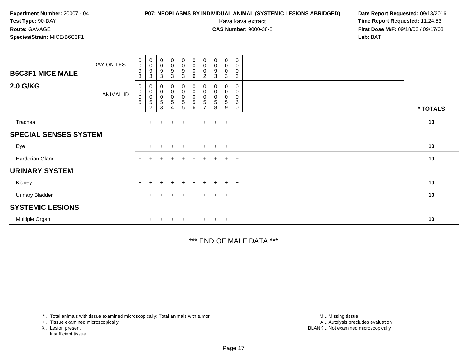# **P07: NEOPLASMS BY INDIVIDUAL ANIMAL (SYSTEMIC LESIONS ABRIDGED) Date Report Requested:** 09/13/2016

Kava kava extract **Time Report Requested:** 11:24:53<br>**CAS Number:** 9000-38-8 **Time Report Requested:** 11:24:53 **First Dose M/F:** 09/18/03 / 09/17/03<br>**Lab:** BAT **Lab:** BAT

| <b>B6C3F1 MICE MALE</b>      | DAY ON TEST      | $\begin{smallmatrix}0\\0\end{smallmatrix}$<br>$\boldsymbol{9}$<br>3   | $\begin{smallmatrix}0\0\0\9\end{smallmatrix}$<br>$\sqrt{3}$      | $\begin{smallmatrix}0\\0\\9\end{smallmatrix}$<br>3  | $\begin{smallmatrix}0\0\0\9\end{smallmatrix}$<br>3 | $\begin{matrix} 0 \\ 0 \\ 9 \\ 3 \end{matrix}$                      | $_{\rm 0}^{\rm 0}$<br>$\pmb{0}$<br>6                    | $\begin{smallmatrix}0\\0\end{smallmatrix}$<br>0<br>$\overline{c}$ | $\begin{smallmatrix}0\\0\\9\end{smallmatrix}$<br>3                  | $_{\rm 0}^{\rm 0}$<br>$\pmb{0}$<br>3 | $\mathbf 0$<br>$\pmb{0}$<br>$\mathbf 0$<br>$\mathbf{3}$ |          |  |
|------------------------------|------------------|-----------------------------------------------------------------------|------------------------------------------------------------------|-----------------------------------------------------|----------------------------------------------------|---------------------------------------------------------------------|---------------------------------------------------------|-------------------------------------------------------------------|---------------------------------------------------------------------|--------------------------------------|---------------------------------------------------------|----------|--|
| <b>2.0 G/KG</b>              | <b>ANIMAL ID</b> | $\boldsymbol{0}$<br>$\begin{smallmatrix} 0\\0 \end{smallmatrix}$<br>5 | $\begin{matrix} 0 \\ 0 \\ 0 \\ 5 \end{matrix}$<br>$\overline{2}$ | $\begin{matrix} 0 \\ 0 \\ 0 \end{matrix}$<br>5<br>3 | 0<br>$\overline{0}$<br>0<br>5<br>4                 | $\begin{matrix}0\\0\\0\end{matrix}$<br>$\sqrt{5}$<br>$\overline{5}$ | $\begin{smallmatrix}0\\0\\0\end{smallmatrix}$<br>5<br>6 | 0<br>$\pmb{0}$<br>$\mathbf 5$                                     | 0<br>$\begin{smallmatrix}0\\0\end{smallmatrix}$<br>$\mathbf 5$<br>8 | 0<br>$\pmb{0}$<br>0<br>5<br>9        | 0<br>0<br>$\pmb{0}$<br>6<br>0                           | * TOTALS |  |
| Trachea                      |                  | $+$                                                                   |                                                                  |                                                     | $\ddot{}$                                          | $+$                                                                 | $\ddot{}$                                               | $+$                                                               |                                                                     | $\pm$                                | $+$                                                     | 10       |  |
| <b>SPECIAL SENSES SYSTEM</b> |                  |                                                                       |                                                                  |                                                     |                                                    |                                                                     |                                                         |                                                                   |                                                                     |                                      |                                                         |          |  |
| Eye                          |                  | $\pm$                                                                 | +                                                                | ÷                                                   | $\ddot{}$                                          | $+$                                                                 | $+$                                                     | $+$                                                               | $+$                                                                 | $+$                                  | $+$                                                     | 10       |  |
| Harderian Gland              |                  | $+$                                                                   |                                                                  |                                                     |                                                    |                                                                     | ÷                                                       |                                                                   |                                                                     | $\pm$                                | $+$                                                     | 10       |  |
| <b>URINARY SYSTEM</b>        |                  |                                                                       |                                                                  |                                                     |                                                    |                                                                     |                                                         |                                                                   |                                                                     |                                      |                                                         |          |  |
| Kidney                       |                  | $+$                                                                   | $\pm$                                                            | $+$                                                 | $+$                                                | $+$                                                                 | $+$                                                     | $+$                                                               | $+$                                                                 | $+$                                  | $+$                                                     | 10       |  |
| <b>Urinary Bladder</b>       |                  | $+$                                                                   |                                                                  |                                                     | $\ddot{}$                                          |                                                                     | $+$                                                     | $+$                                                               |                                                                     | $\pm$                                | $+$                                                     | 10       |  |
| <b>SYSTEMIC LESIONS</b>      |                  |                                                                       |                                                                  |                                                     |                                                    |                                                                     |                                                         |                                                                   |                                                                     |                                      |                                                         |          |  |
| Multiple Organ               |                  |                                                                       |                                                                  |                                                     |                                                    |                                                                     |                                                         |                                                                   |                                                                     | $\pm$                                | $+$                                                     | 10       |  |

\*\*\* END OF MALE DATA \*\*\*

\* .. Total animals with tissue examined microscopically; Total animals with tumor

+ .. Tissue examined microscopically

X .. Lesion present

I .. Insufficient tissue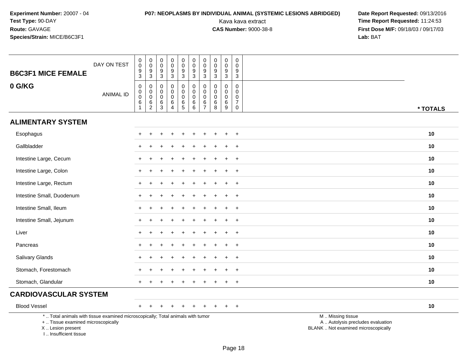# **P07: NEOPLASMS BY INDIVIDUAL ANIMAL (SYSTEMIC LESIONS ABRIDGED) Date Report Requested:** 09/13/2016

| <b>B6C3F1 MICE FEMALE</b>                                                                                                                                           | DAY ON TEST      | $\pmb{0}$<br>$\pmb{0}$<br>9<br>$\overline{3}$                | $\boldsymbol{0}$<br>$\pmb{0}$<br>$\frac{9}{3}$ | $\pmb{0}$<br>$\mathsf{O}\xspace$<br>9<br>$\overline{3}$ | $\begin{smallmatrix} 0\\0 \end{smallmatrix}$<br>$\boldsymbol{9}$<br>$\overline{3}$ | $\mathbf 0$<br>$\mathsf{O}\xspace$<br>$\boldsymbol{9}$<br>$\overline{3}$       | $\pmb{0}$<br>$\mathbf 0$<br>9<br>$\overline{3}$   | $\mathbf 0$<br>$\pmb{0}$<br>9<br>$\mathbf{3}$           | $\mathbf 0$<br>$\pmb{0}$<br>$\boldsymbol{9}$<br>$\overline{3}$ | $\pmb{0}$<br>$\pmb{0}$<br>$\boldsymbol{9}$<br>$\overline{3}$ | $\mathbf 0$<br>$\mathbf 0$<br>9<br>$\overline{3}$                                  |                                                                                               |
|---------------------------------------------------------------------------------------------------------------------------------------------------------------------|------------------|--------------------------------------------------------------|------------------------------------------------|---------------------------------------------------------|------------------------------------------------------------------------------------|--------------------------------------------------------------------------------|---------------------------------------------------|---------------------------------------------------------|----------------------------------------------------------------|--------------------------------------------------------------|------------------------------------------------------------------------------------|-----------------------------------------------------------------------------------------------|
| 0 G/KG                                                                                                                                                              | <b>ANIMAL ID</b> | $\mathbf 0$<br>$\pmb{0}$<br>$\mathbf 0$<br>6<br>$\mathbf{1}$ | 0<br>$\pmb{0}$<br>$\mathbf 0$<br>$^6_2$        | 0<br>0<br>$\mathbf 0$<br>$^6_3$                         | $\mathbf 0$<br>$\mathbf 0$<br>$\mathbf 0$<br>$\,6\,$<br>$\overline{4}$             | 0<br>$\mathsf{O}\xspace$<br>$\pmb{0}$<br>$\begin{array}{c} 6 \\ 5 \end{array}$ | $\mathbf 0$<br>$\pmb{0}$<br>$\mathbf 0$<br>6<br>6 | 0<br>$\mathbf 0$<br>$\mathbf{0}$<br>6<br>$\overline{7}$ | 0<br>$\mathbf 0$<br>$\mathbf 0$<br>6<br>8                      | 0<br>0<br>$\mathbf 0$<br>$\,6\,$<br>9                        | $\mathbf 0$<br>$\mathbf 0$<br>$\mathbf 0$<br>$\overline{7}$<br>$\mathsf{O}\xspace$ | * TOTALS                                                                                      |
| <b>ALIMENTARY SYSTEM</b>                                                                                                                                            |                  |                                                              |                                                |                                                         |                                                                                    |                                                                                |                                                   |                                                         |                                                                |                                                              |                                                                                    |                                                                                               |
| Esophagus                                                                                                                                                           |                  |                                                              |                                                |                                                         |                                                                                    |                                                                                |                                                   |                                                         |                                                                |                                                              | $\overline{ }$                                                                     | 10                                                                                            |
| Gallbladder                                                                                                                                                         |                  |                                                              |                                                |                                                         |                                                                                    |                                                                                |                                                   |                                                         |                                                                |                                                              | $\overline{+}$                                                                     | 10                                                                                            |
| Intestine Large, Cecum                                                                                                                                              |                  |                                                              |                                                |                                                         |                                                                                    |                                                                                |                                                   |                                                         |                                                                |                                                              | $\ddot{}$                                                                          | 10                                                                                            |
| Intestine Large, Colon                                                                                                                                              |                  |                                                              |                                                |                                                         |                                                                                    |                                                                                |                                                   |                                                         |                                                                |                                                              | $\ddot{}$                                                                          | 10                                                                                            |
| Intestine Large, Rectum                                                                                                                                             |                  |                                                              |                                                |                                                         |                                                                                    |                                                                                |                                                   |                                                         |                                                                |                                                              | $\overline{1}$                                                                     | 10                                                                                            |
| Intestine Small, Duodenum                                                                                                                                           |                  |                                                              |                                                |                                                         |                                                                                    |                                                                                |                                                   |                                                         |                                                                |                                                              | $\pm$                                                                              | 10                                                                                            |
| Intestine Small, Ileum                                                                                                                                              |                  |                                                              |                                                |                                                         |                                                                                    |                                                                                |                                                   |                                                         |                                                                | $\div$                                                       | $+$                                                                                | 10                                                                                            |
| Intestine Small, Jejunum                                                                                                                                            |                  |                                                              |                                                |                                                         |                                                                                    |                                                                                |                                                   |                                                         |                                                                |                                                              | $\overline{+}$                                                                     | 10                                                                                            |
| Liver                                                                                                                                                               |                  |                                                              |                                                |                                                         |                                                                                    |                                                                                |                                                   |                                                         |                                                                |                                                              | $\overline{+}$                                                                     | 10                                                                                            |
| Pancreas                                                                                                                                                            |                  |                                                              |                                                |                                                         |                                                                                    |                                                                                |                                                   |                                                         |                                                                | $\div$                                                       | $+$                                                                                | 10                                                                                            |
| Salivary Glands                                                                                                                                                     |                  |                                                              |                                                |                                                         |                                                                                    |                                                                                |                                                   |                                                         |                                                                | $\div$                                                       | $\ddot{}$                                                                          | 10                                                                                            |
| Stomach, Forestomach                                                                                                                                                |                  |                                                              |                                                |                                                         |                                                                                    |                                                                                |                                                   |                                                         |                                                                |                                                              | $\overline{+}$                                                                     | 10                                                                                            |
| Stomach, Glandular                                                                                                                                                  |                  |                                                              |                                                |                                                         |                                                                                    |                                                                                |                                                   |                                                         |                                                                |                                                              | $\ddot{}$                                                                          | 10                                                                                            |
| <b>CARDIOVASCULAR SYSTEM</b>                                                                                                                                        |                  |                                                              |                                                |                                                         |                                                                                    |                                                                                |                                                   |                                                         |                                                                |                                                              |                                                                                    |                                                                                               |
| <b>Blood Vessel</b>                                                                                                                                                 |                  |                                                              |                                                |                                                         |                                                                                    |                                                                                |                                                   |                                                         |                                                                | ÷                                                            | $+$                                                                                | 10                                                                                            |
| *  Total animals with tissue examined microscopically; Total animals with tumor<br>+  Tissue examined microscopically<br>X  Lesion present<br>I Insufficient tissue |                  |                                                              |                                                |                                                         |                                                                                    |                                                                                |                                                   |                                                         |                                                                |                                                              |                                                                                    | M  Missing tissue<br>A  Autolysis precludes evaluation<br>BLANK  Not examined microscopically |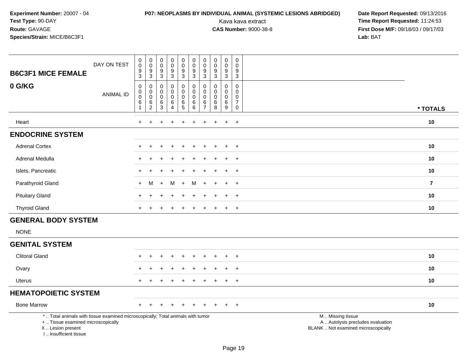# **P07: NEOPLASMS BY INDIVIDUAL ANIMAL (SYSTEMIC LESIONS ABRIDGED) Date Report Requested:** 09/13/2016

| <b>B6C3F1 MICE FEMALE</b>                                                                                                                                             | DAY ON TEST      | $\mathbf 0$<br>$\mathsf 0$<br>9<br>3 | $\mathsf{O}$<br>$\bar{0}$<br>$\frac{9}{3}$             | $\pmb{0}$<br>$\mathsf{O}\xspace$<br>$^9_3$                 | $\pmb{0}$<br>$\overline{0}$<br>9<br>$\overline{3}$       | $\pmb{0}$<br>$\mathbf 0$<br>$\boldsymbol{9}$<br>$\mathbf{3}$     | $\mathbf 0$<br>$\overline{0}$<br>$\boldsymbol{9}$<br>$\overline{3}$ | $\mathbf 0$<br>$\mathbf 0$<br>$\boldsymbol{9}$<br>3 | 0<br>$\mathbf 0$<br>$\boldsymbol{9}$<br>$\mathsf 3$ | $\pmb{0}$<br>$\ddot{\mathbf{0}}$<br>$\boldsymbol{9}$<br>$\overline{3}$ | $\mathbf 0$<br>$\mathbf 0$<br>$\boldsymbol{9}$<br>$\overline{3}$           |                                                                                               |                |
|-----------------------------------------------------------------------------------------------------------------------------------------------------------------------|------------------|--------------------------------------|--------------------------------------------------------|------------------------------------------------------------|----------------------------------------------------------|------------------------------------------------------------------|---------------------------------------------------------------------|-----------------------------------------------------|-----------------------------------------------------|------------------------------------------------------------------------|----------------------------------------------------------------------------|-----------------------------------------------------------------------------------------------|----------------|
| 0 G/KG                                                                                                                                                                | <b>ANIMAL ID</b> | 0<br>0<br>0<br>6<br>$\mathbf{1}$     | 0<br>$\pmb{0}$<br>$\pmb{0}$<br>$\,6$<br>$\overline{c}$ | $\mathbf 0$<br>0<br>$\mathbf 0$<br>$\,6\,$<br>$\mathbf{3}$ | 0<br>$\pmb{0}$<br>$\pmb{0}$<br>$\,6\,$<br>$\overline{4}$ | 0<br>$\mathsf{O}\xspace$<br>$\mathbf 0$<br>$\,6\,$<br>$\sqrt{5}$ | $\mathbf 0$<br>$\mathbf 0$<br>$\mathbf 0$<br>$\,6\,$<br>$\,6\,$     | 0<br>$\mathbf 0$<br>0<br>6<br>$\overline{7}$        | $\Omega$<br>$\Omega$<br>$\mathbf 0$<br>$\,6$<br>8   | $\mathbf 0$<br>$\mathbf 0$<br>0<br>$\,6\,$<br>9                        | $\mathbf 0$<br>$\mathbf 0$<br>$\mathbf 0$<br>$\overline{7}$<br>$\mathbf 0$ |                                                                                               | * TOTALS       |
| Heart                                                                                                                                                                 |                  | $\ddot{}$                            |                                                        |                                                            |                                                          | ÷                                                                |                                                                     | ÷                                                   | $\pm$                                               | $\ddot{}$                                                              | $+$                                                                        |                                                                                               | 10             |
| <b>ENDOCRINE SYSTEM</b>                                                                                                                                               |                  |                                      |                                                        |                                                            |                                                          |                                                                  |                                                                     |                                                     |                                                     |                                                                        |                                                                            |                                                                                               |                |
| <b>Adrenal Cortex</b>                                                                                                                                                 |                  |                                      |                                                        |                                                            |                                                          |                                                                  |                                                                     |                                                     |                                                     | ÷                                                                      | $\ddot{}$                                                                  |                                                                                               | 10             |
| Adrenal Medulla                                                                                                                                                       |                  |                                      |                                                        |                                                            |                                                          |                                                                  |                                                                     |                                                     |                                                     |                                                                        | $\ddot{}$                                                                  |                                                                                               | 10             |
| Islets, Pancreatic                                                                                                                                                    |                  |                                      |                                                        |                                                            |                                                          |                                                                  |                                                                     |                                                     |                                                     |                                                                        | $\ddot{}$                                                                  |                                                                                               | 10             |
| Parathyroid Gland                                                                                                                                                     |                  | $\div$                               | м                                                      | $\ddot{}$                                                  | м                                                        | $+$                                                              | M                                                                   |                                                     |                                                     |                                                                        | $+$                                                                        |                                                                                               | $\overline{7}$ |
| <b>Pituitary Gland</b>                                                                                                                                                |                  |                                      |                                                        |                                                            |                                                          |                                                                  |                                                                     |                                                     |                                                     | $\ddot{}$                                                              | $+$                                                                        |                                                                                               | 10             |
| <b>Thyroid Gland</b>                                                                                                                                                  |                  |                                      |                                                        |                                                            |                                                          |                                                                  |                                                                     |                                                     |                                                     | $\ddot{}$                                                              | $+$                                                                        |                                                                                               | 10             |
| <b>GENERAL BODY SYSTEM</b>                                                                                                                                            |                  |                                      |                                                        |                                                            |                                                          |                                                                  |                                                                     |                                                     |                                                     |                                                                        |                                                                            |                                                                                               |                |
| <b>NONE</b>                                                                                                                                                           |                  |                                      |                                                        |                                                            |                                                          |                                                                  |                                                                     |                                                     |                                                     |                                                                        |                                                                            |                                                                                               |                |
| <b>GENITAL SYSTEM</b>                                                                                                                                                 |                  |                                      |                                                        |                                                            |                                                          |                                                                  |                                                                     |                                                     |                                                     |                                                                        |                                                                            |                                                                                               |                |
| <b>Clitoral Gland</b>                                                                                                                                                 |                  |                                      |                                                        |                                                            |                                                          |                                                                  |                                                                     |                                                     |                                                     | $\ddot{}$                                                              | $^{+}$                                                                     |                                                                                               | 10             |
| Ovary                                                                                                                                                                 |                  |                                      |                                                        |                                                            |                                                          |                                                                  |                                                                     |                                                     |                                                     |                                                                        | $\overline{+}$                                                             |                                                                                               | 10             |
| <b>Uterus</b>                                                                                                                                                         |                  |                                      |                                                        |                                                            |                                                          |                                                                  |                                                                     |                                                     |                                                     | $\ddot{}$                                                              | $+$                                                                        |                                                                                               | 10             |
| <b>HEMATOPOIETIC SYSTEM</b>                                                                                                                                           |                  |                                      |                                                        |                                                            |                                                          |                                                                  |                                                                     |                                                     |                                                     |                                                                        |                                                                            |                                                                                               |                |
| <b>Bone Marrow</b>                                                                                                                                                    |                  |                                      |                                                        |                                                            |                                                          |                                                                  |                                                                     |                                                     |                                                     |                                                                        | $+$                                                                        |                                                                                               | 10             |
| *  Total animals with tissue examined microscopically; Total animals with tumor<br>+  Tissue examined microscopically<br>X  Lesion present<br>I., Insufficient tissue |                  |                                      |                                                        |                                                            |                                                          |                                                                  |                                                                     |                                                     |                                                     |                                                                        |                                                                            | M  Missing tissue<br>A  Autolysis precludes evaluation<br>BLANK  Not examined microscopically |                |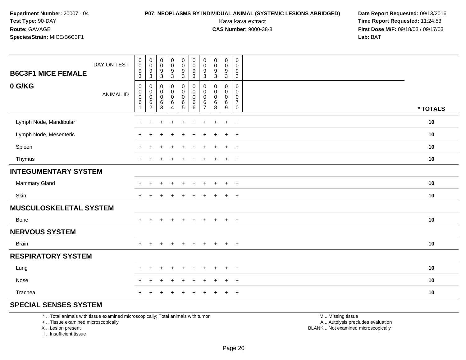# **P07: NEOPLASMS BY INDIVIDUAL ANIMAL (SYSTEMIC LESIONS ABRIDGED) Date Report Requested:** 09/13/2016

Kava kava extract **Time Report Requested:** 11:24:53<br>**CAS Number:** 9000-38-8 **Time Report Requested:** 11:24:53 **First Dose M/F:** 09/18/03 / 09/17/03<br>**Lab:** BAT **Lab:** BAT

| DAY ON TEST<br><b>B6C3F1 MICE FEMALE</b> | $_{\rm 0}^{\rm 0}$<br>$\frac{9}{3}$                                                       | $\pmb{0}$<br>$\mathbf 0$<br>$\boldsymbol{9}$<br>$\mathbf{3}$ | $_{\rm 0}^{\rm 0}$<br>$\boldsymbol{9}$<br>$\mathbf{3}$                  | $\pmb{0}$<br>$\mathsf 0$<br>$\frac{9}{3}$                       | $\pmb{0}$<br>$\mathbf 0$<br>$\boldsymbol{9}$<br>3                        | $\pmb{0}$<br>$\pmb{0}$<br>$\boldsymbol{9}$<br>3             | 0<br>$\pmb{0}$<br>9<br>3           | $\pmb{0}$<br>$\pmb{0}$<br>$\frac{9}{3}$                  | $\pmb{0}$<br>$\pmb{0}$<br>$\boldsymbol{9}$<br>$\mathbf{3}$   | $\pmb{0}$<br>0<br>9<br>$\mathbf{3}$ |          |
|------------------------------------------|-------------------------------------------------------------------------------------------|--------------------------------------------------------------|-------------------------------------------------------------------------|-----------------------------------------------------------------|--------------------------------------------------------------------------|-------------------------------------------------------------|------------------------------------|----------------------------------------------------------|--------------------------------------------------------------|-------------------------------------|----------|
| 0 G/KG<br><b>ANIMAL ID</b>               | $\mathsf{O}\xspace$<br>$\pmb{0}$<br>$\mathsf{O}\xspace$<br>$6\phantom{a}$<br>$\mathbf{1}$ | 0<br>0<br>$\mathsf{O}\xspace$<br>6<br>$\overline{2}$         | $\mathbf 0$<br>$\pmb{0}$<br>$\boldsymbol{0}$<br>$\,6\,$<br>$\mathbf{3}$ | $\pmb{0}$<br>$\mathsf 0$<br>$\mathsf{O}\xspace$<br>$\,6\,$<br>4 | $\pmb{0}$<br>$\pmb{0}$<br>$\mathsf{O}\xspace$<br>$\,6$<br>5 <sup>5</sup> | $\pmb{0}$<br>$\pmb{0}$<br>$\mathsf 0$<br>$\,6\,$<br>$\,6\,$ | 0<br>0<br>0<br>6<br>$\overline{7}$ | $\pmb{0}$<br>$\pmb{0}$<br>$\pmb{0}$<br>$\,6\,$<br>$\, 8$ | 0<br>$\mathbf 0$<br>$\pmb{0}$<br>$\,6\,$<br>$\boldsymbol{9}$ | 0<br>0<br>0<br>$\overline{7}$<br>0  | * TOTALS |
| Lymph Node, Mandibular                   | $\ddot{}$                                                                                 | $\ddot{}$                                                    | $\ddot{}$                                                               | $\ddot{}$                                                       | $\ddot{}$                                                                | $\ddot{}$                                                   | $+$                                | $\ddot{}$                                                | $\ddot{}$                                                    | $+$                                 | 10       |
| Lymph Node, Mesenteric                   | $\ddot{}$                                                                                 | ÷                                                            |                                                                         | ÷                                                               |                                                                          | $\ddot{}$                                                   | $\pm$                              | $\mathbf +$                                              | $+$                                                          | $+$                                 | 10       |
| Spleen                                   | $+$                                                                                       | $\div$                                                       |                                                                         | $\ddot{}$                                                       |                                                                          | $\ddot{}$                                                   | $\pm$                              | $\div$                                                   | $+$                                                          | $+$                                 | 10       |
| Thymus                                   | $+$                                                                                       |                                                              |                                                                         |                                                                 |                                                                          | ÷                                                           | +                                  |                                                          | $\ddot{}$                                                    | $^{+}$                              | 10       |
| <b>INTEGUMENTARY SYSTEM</b>              |                                                                                           |                                                              |                                                                         |                                                                 |                                                                          |                                                             |                                    |                                                          |                                                              |                                     |          |
| <b>Mammary Gland</b>                     | $\ddot{}$                                                                                 |                                                              |                                                                         |                                                                 |                                                                          |                                                             |                                    |                                                          | $\ddot{}$                                                    | $\overline{+}$                      | 10       |
| Skin                                     | $+$                                                                                       |                                                              |                                                                         |                                                                 |                                                                          |                                                             |                                    |                                                          | $\ddot{}$                                                    | $\ddot{}$                           | 10       |
| <b>MUSCULOSKELETAL SYSTEM</b>            |                                                                                           |                                                              |                                                                         |                                                                 |                                                                          |                                                             |                                    |                                                          |                                                              |                                     |          |
| Bone                                     | $+$                                                                                       | $\ddot{}$                                                    | $\pm$                                                                   | $+$                                                             | $\overline{+}$                                                           | $+$                                                         | $+$                                | $+$                                                      | $+$                                                          | $+$                                 | 10       |
| <b>NERVOUS SYSTEM</b>                    |                                                                                           |                                                              |                                                                         |                                                                 |                                                                          |                                                             |                                    |                                                          |                                                              |                                     |          |
| <b>Brain</b>                             | $+$                                                                                       | ÷                                                            |                                                                         | $\pm$                                                           | ÷                                                                        | $\pm$                                                       | $\pm$                              | $\div$                                                   | $\ddot{}$                                                    | $+$                                 | 10       |
| <b>RESPIRATORY SYSTEM</b>                |                                                                                           |                                                              |                                                                         |                                                                 |                                                                          |                                                             |                                    |                                                          |                                                              |                                     |          |
| Lung                                     | $+$                                                                                       | ÷                                                            |                                                                         |                                                                 |                                                                          |                                                             |                                    |                                                          | $\ddot{}$                                                    | $+$                                 | 10       |
| Nose                                     | $+$                                                                                       |                                                              |                                                                         |                                                                 |                                                                          |                                                             |                                    |                                                          | $\ddot{}$                                                    | $\overline{+}$                      | 10       |
| Trachea                                  | $\pm$                                                                                     |                                                              |                                                                         |                                                                 |                                                                          |                                                             |                                    |                                                          | $\pm$                                                        | $\overline{+}$                      | 10       |

### **SPECIAL SENSES SYSTEM**

\* .. Total animals with tissue examined microscopically; Total animals with tumor

+ .. Tissue examined microscopically

X .. Lesion present

I .. Insufficient tissue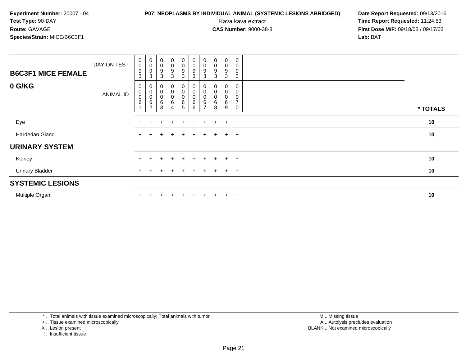# **P07: NEOPLASMS BY INDIVIDUAL ANIMAL (SYSTEMIC LESIONS ABRIDGED) Date Report Requested:** 09/13/2016

Kava kava extract **Time Report Requested:** 11:24:53<br>**CAS Number:** 9000-38-8 **Time Report Requested:** 11:24:53 **First Dose M/F:** 09/18/03 / 09/17/03<br>**Lab:** BAT **Lab:** BAT

| <b>B6C3F1 MICE FEMALE</b> | DAY ON TEST | $_{\rm 0}^{\rm 0}$<br>9<br>3     | $\begin{matrix} 0 \\ 0 \\ 9 \\ 3 \end{matrix}$                   | $\begin{smallmatrix}0\0\0\9\end{smallmatrix}$<br>3  | $\begin{smallmatrix} 0\\0 \end{smallmatrix}$<br>9<br>3 | $\begin{smallmatrix} 0\\0 \end{smallmatrix}$<br>9<br>$\mathbf{3}$ | $_{\rm 0}^{\rm 0}$<br>$\boldsymbol{9}$<br>3       | $\begin{smallmatrix} 0\\0 \end{smallmatrix}$<br>$\boldsymbol{9}$<br>3 | $\begin{smallmatrix} 0\\0 \end{smallmatrix}$<br>9<br>3    | $\begin{smallmatrix} 0\\0 \end{smallmatrix}$<br>9<br>3 | $\pmb{0}$<br>$\overline{0}$<br>$9\,$<br>3 |          |
|---------------------------|-------------|----------------------------------|------------------------------------------------------------------|-----------------------------------------------------|--------------------------------------------------------|-------------------------------------------------------------------|---------------------------------------------------|-----------------------------------------------------------------------|-----------------------------------------------------------|--------------------------------------------------------|-------------------------------------------|----------|
| 0 G/KG                    | ANIMAL ID   | 0<br>0<br>$\mathbf 0$<br>$\,6\,$ | $\begin{matrix} 0 \\ 0 \\ 0 \\ 6 \end{matrix}$<br>$\overline{2}$ | $\begin{matrix} 0 \\ 0 \\ 0 \\ 6 \end{matrix}$<br>3 | 0<br>$\begin{matrix} 0 \\ 0 \end{matrix}$<br>6<br>4    | 0<br>$\begin{smallmatrix}0\\0\end{smallmatrix}$<br>6<br>5         | $\begin{matrix}0\\0\\0\end{matrix}$<br>$\,6$<br>6 | 0<br>$_{\rm 0}^{\rm 0}$<br>$\,6\,$<br>$\overline{ }$                  | $\begin{smallmatrix}0\0\0\end{smallmatrix}$<br>$\,6$<br>8 | 0<br>0<br>$\pmb{0}$<br>6<br>9                          | 0<br>$\overline{7}$                       | * TOTALS |
| Eye                       |             | $\pm$                            |                                                                  | $\div$                                              | $\ddot{}$                                              | $+$                                                               | $+$                                               | $\pm$                                                                 | $\pm$                                                     | $\ddot{}$                                              | $+$                                       | 10       |
| Harderian Gland           |             | $\pm$                            |                                                                  |                                                     | $\ddot{}$                                              | $+$                                                               | $+$                                               | $+$                                                                   | $+$                                                       | $+$ $+$                                                |                                           | 10       |
| <b>URINARY SYSTEM</b>     |             |                                  |                                                                  |                                                     |                                                        |                                                                   |                                                   |                                                                       |                                                           |                                                        |                                           |          |
| Kidney                    |             | $\ddot{}$                        |                                                                  |                                                     |                                                        | $+$                                                               | $\pm$                                             | $+$                                                                   | $+$                                                       | $+$                                                    | $+$                                       | 10       |
| <b>Urinary Bladder</b>    |             | $+$                              |                                                                  | $\div$                                              | $\pm$                                                  | $+$                                                               | $+$                                               | $+$                                                                   | $+$                                                       | $+$                                                    | $+$                                       | 10       |
| <b>SYSTEMIC LESIONS</b>   |             |                                  |                                                                  |                                                     |                                                        |                                                                   |                                                   |                                                                       |                                                           |                                                        |                                           |          |
| Multiple Organ            |             |                                  |                                                                  |                                                     | $\div$                                                 | $\pm$                                                             | $\pm$                                             | $+$                                                                   | $+$                                                       | $\pm$                                                  | $+$                                       | 10       |

\* .. Total animals with tissue examined microscopically; Total animals with tumor

+ .. Tissue examined microscopically

- X .. Lesion present
- I .. Insufficient tissue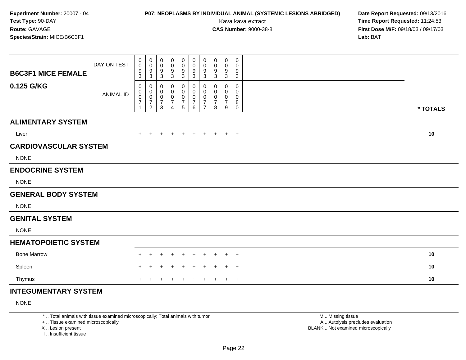# **P07: NEOPLASMS BY INDIVIDUAL ANIMAL (SYSTEMIC LESIONS ABRIDGED) Date Report Requested:** 09/13/2016

Kava kava extract **Time Report Requested:** 11:24:53<br>**CAS Number:** 9000-38-8 **Time Report Requested:** 11:24:53 **First Dose M/F:** 09/18/03 / 09/17/03<br>**Lab:** BAT **Lab:** BAT

| <b>B6C3F1 MICE FEMALE</b>    | DAY ON TEST      | 0<br>$\pmb{0}$<br>9<br>3                     | 0<br>$\boldsymbol{0}$<br>9<br>$\mathbf{3}$                        | 0<br>0<br>9<br>3                             | 0<br>0<br>9<br>$\ensuremath{\mathsf{3}}$                | 0<br>0<br>9<br>$\mathbf{3}$                                        | 0<br>$\mathbf 0$<br>$\frac{9}{3}$                            | 0<br>$\pmb{0}$<br>9<br>$\sqrt{3}$                                        | $\mathbf 0$<br>0<br>9<br>$\mathbf{3}$ | 0<br>0<br>9<br>$\sqrt{3}$                                           | 0<br>0<br>9<br>3              |          |
|------------------------------|------------------|----------------------------------------------|-------------------------------------------------------------------|----------------------------------------------|---------------------------------------------------------|--------------------------------------------------------------------|--------------------------------------------------------------|--------------------------------------------------------------------------|---------------------------------------|---------------------------------------------------------------------|-------------------------------|----------|
| 0.125 G/KG                   | <b>ANIMAL ID</b> | 0<br>0<br>$\pmb{0}$<br>$\boldsymbol{7}$<br>1 | 0<br>$\pmb{0}$<br>$\pmb{0}$<br>$\boldsymbol{7}$<br>$\overline{2}$ | 0<br>0<br>0<br>$\overline{\mathcal{I}}$<br>3 | 0<br>0<br>$\pmb{0}$<br>$\overline{7}$<br>$\overline{4}$ | 0<br>$\pmb{0}$<br>$\pmb{0}$<br>$\boldsymbol{7}$<br>$5\phantom{.0}$ | 0<br>$\pmb{0}$<br>$\mathbf 0$<br>$\boldsymbol{7}$<br>$\,6\,$ | 0<br>$\mathbf 0$<br>$\boldsymbol{0}$<br>$\overline{7}$<br>$\overline{7}$ | 0<br>0<br>0<br>$\overline{7}$<br>8    | 0<br>$\mathbf 0$<br>$\pmb{0}$<br>$\overline{7}$<br>$\boldsymbol{9}$ | 0<br>0<br>0<br>8<br>$\pmb{0}$ | * TOTALS |
| <b>ALIMENTARY SYSTEM</b>     |                  |                                              |                                                                   |                                              |                                                         |                                                                    |                                                              |                                                                          |                                       |                                                                     |                               |          |
| Liver                        |                  | $+$                                          | $+$                                                               | $\ddot{}$                                    | $+$                                                     | $+$                                                                | $+$                                                          | $+$                                                                      | $+$                                   |                                                                     | $+$ $+$                       | 10       |
| <b>CARDIOVASCULAR SYSTEM</b> |                  |                                              |                                                                   |                                              |                                                         |                                                                    |                                                              |                                                                          |                                       |                                                                     |                               |          |
| <b>NONE</b>                  |                  |                                              |                                                                   |                                              |                                                         |                                                                    |                                                              |                                                                          |                                       |                                                                     |                               |          |
| <b>ENDOCRINE SYSTEM</b>      |                  |                                              |                                                                   |                                              |                                                         |                                                                    |                                                              |                                                                          |                                       |                                                                     |                               |          |
| <b>NONE</b>                  |                  |                                              |                                                                   |                                              |                                                         |                                                                    |                                                              |                                                                          |                                       |                                                                     |                               |          |
| <b>GENERAL BODY SYSTEM</b>   |                  |                                              |                                                                   |                                              |                                                         |                                                                    |                                                              |                                                                          |                                       |                                                                     |                               |          |
| <b>NONE</b>                  |                  |                                              |                                                                   |                                              |                                                         |                                                                    |                                                              |                                                                          |                                       |                                                                     |                               |          |
| <b>GENITAL SYSTEM</b>        |                  |                                              |                                                                   |                                              |                                                         |                                                                    |                                                              |                                                                          |                                       |                                                                     |                               |          |
| <b>NONE</b>                  |                  |                                              |                                                                   |                                              |                                                         |                                                                    |                                                              |                                                                          |                                       |                                                                     |                               |          |
| <b>HEMATOPOIETIC SYSTEM</b>  |                  |                                              |                                                                   |                                              |                                                         |                                                                    |                                                              |                                                                          |                                       |                                                                     |                               |          |
| <b>Bone Marrow</b>           |                  |                                              |                                                                   |                                              |                                                         | $\pm$                                                              | $\pm$                                                        | $\div$                                                                   |                                       | $\pm$                                                               | $+$                           | 10       |
| Spleen                       |                  | $+$                                          |                                                                   | ÷                                            |                                                         | $\div$                                                             | $\ddot{}$                                                    | $\overline{ }$                                                           | $\pm$                                 | $\pm$                                                               | $+$                           | 10       |
| Thymus                       |                  | $+$                                          |                                                                   |                                              |                                                         | $\ddot{}$                                                          | $\ddot{}$                                                    | $\ddot{}$                                                                | $\ddot{}$                             | $+$                                                                 | $+$                           | 10       |
| <b>INTEGUMENTARY SYSTEM</b>  |                  |                                              |                                                                   |                                              |                                                         |                                                                    |                                                              |                                                                          |                                       |                                                                     |                               |          |

NONE

\* .. Total animals with tissue examined microscopically; Total animals with tumor

+ .. Tissue examined microscopically

X .. Lesion present

I .. Insufficient tissue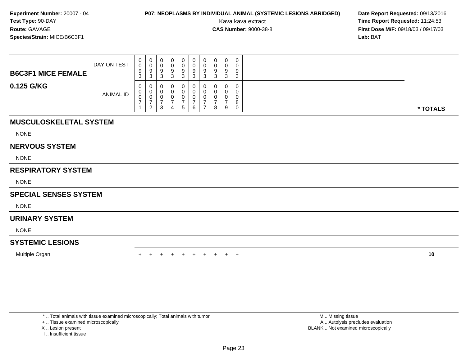# **P07: NEOPLASMS BY INDIVIDUAL ANIMAL (SYSTEMIC LESIONS ABRIDGED) Date Report Requested: 09/13/2016<br>Kava kava extract <b>Time Report Requested:** 11:24:53

Kava kava extract **Time Report Requested:** 11:24:53<br>**CAS Number:** 9000-38-8<br>**Tirst Dose M/F:** 09/18/03 / 09/17/03 **First Dose M/F:** 09/18/03 / 09/17/03<br>**Lab:** BAT **Lab:** BAT

| <b>B6C3F1 MICE FEMALE</b> | DAY ON TEST      | 0<br>$\Omega$<br>ັບ<br>ত | U<br>U<br>9<br>3        | 0<br>9<br>ົ<br>ು | 0<br>v<br>9<br>3 | a | 0<br>U<br>9<br>J | 0<br>0<br>9<br>3 | 0<br>0<br>9<br>3 | 0<br>9<br>ີ<br>ت |  |          |
|---------------------------|------------------|--------------------------|-------------------------|------------------|------------------|---|------------------|------------------|------------------|------------------|--|----------|
| 0.125 G/KG                | <b>ANIMAL ID</b> | $\mathbf{0}$<br>υ<br>U   | U<br>υ<br>U<br><u>_</u> | 3                | 0<br>υ<br>U<br>4 | G | υ<br>U<br>U      | 0<br>0<br>0<br>8 | 0<br>0<br>0<br>9 | <b>U</b><br>ິດ   |  | * TOTALS |

### **MUSCULOSKELETAL SYSTEM**

NONE

#### **NERVOUS SYSTEM**

NONE

### **RESPIRATORY SYSTEM**

NONE

### **SPECIAL SENSES SYSTEM**

NONE

#### **URINARY SYSTEM**

NONE

### **SYSTEMIC LESIONS**

Multiple Organn  $+$ 

<sup>+</sup> <sup>+</sup> <sup>+</sup> <sup>+</sup> <sup>+</sup> <sup>+</sup> <sup>+</sup> <sup>+</sup> <sup>+</sup> **<sup>10</sup>**

\* .. Total animals with tissue examined microscopically; Total animals with tumor

+ .. Tissue examined microscopically

- X .. Lesion present
- I .. Insufficient tissue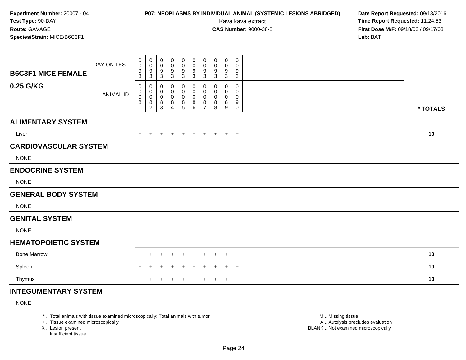# **P07: NEOPLASMS BY INDIVIDUAL ANIMAL (SYSTEMIC LESIONS ABRIDGED) Date Report Requested:** 09/13/2016

Kava kava extract **Time Report Requested:** 11:24:53<br>**CAS Number:** 9000-38-8 **Time Report Requested:** 11:24:53 **First Dose M/F:** 09/18/03 / 09/17/03<br>**Lab:** BAT **Lab:** BAT

| <b>B6C3F1 MICE FEMALE</b>    | DAY ON TEST      | 0<br>$\pmb{0}$<br>9                                   | 0<br>$\pmb{0}$<br>9                                          | 0<br>0<br>9                                   | 0<br>0<br>9                                                     | 0<br>0<br>9                | 0<br>0<br>$\frac{9}{3}$                            | 0<br>0<br>9                                                               | $\mathbf 0$<br>0<br>9                 | 0<br>0<br>9                                   | $\mathbf 0$<br>0<br>9                                                    |          |
|------------------------------|------------------|-------------------------------------------------------|--------------------------------------------------------------|-----------------------------------------------|-----------------------------------------------------------------|----------------------------|----------------------------------------------------|---------------------------------------------------------------------------|---------------------------------------|-----------------------------------------------|--------------------------------------------------------------------------|----------|
| 0.25 G/KG                    | <b>ANIMAL ID</b> | 3<br>0<br>0<br>$\pmb{0}$<br>$\bf 8$<br>$\overline{1}$ | $\mathbf{3}$<br>0<br>$\pmb{0}$<br>$\pmb{0}$<br>$\frac{8}{2}$ | $\sqrt{3}$<br>0<br>0<br>$\mathbf 0$<br>8<br>3 | $\ensuremath{\mathsf{3}}$<br>0<br>0<br>0<br>8<br>$\overline{4}$ | 3<br>0<br>0<br>0<br>$^8$ 5 | 0<br>$\boldsymbol{0}$<br>$\pmb{0}$<br>$\bf 8$<br>6 | $\sqrt{3}$<br>0<br>$\mathbf 0$<br>$\boldsymbol{0}$<br>8<br>$\overline{7}$ | $\mathbf{3}$<br>0<br>0<br>0<br>8<br>8 | $\sqrt{3}$<br>0<br>0<br>$\mathbf 0$<br>8<br>9 | $\ensuremath{\mathsf{3}}$<br>$\mathbf 0$<br>0<br>0<br>$9\,$<br>$\pmb{0}$ | * TOTALS |
| <b>ALIMENTARY SYSTEM</b>     |                  |                                                       |                                                              |                                               |                                                                 |                            |                                                    |                                                                           |                                       |                                               |                                                                          |          |
| Liver                        |                  | $+$                                                   | $+$                                                          | $+$                                           | $+$                                                             | $+$                        | $+$                                                | $+$                                                                       |                                       | $+$ $+$ $+$                                   |                                                                          | 10       |
| <b>CARDIOVASCULAR SYSTEM</b> |                  |                                                       |                                                              |                                               |                                                                 |                            |                                                    |                                                                           |                                       |                                               |                                                                          |          |
| <b>NONE</b>                  |                  |                                                       |                                                              |                                               |                                                                 |                            |                                                    |                                                                           |                                       |                                               |                                                                          |          |
| <b>ENDOCRINE SYSTEM</b>      |                  |                                                       |                                                              |                                               |                                                                 |                            |                                                    |                                                                           |                                       |                                               |                                                                          |          |
| <b>NONE</b>                  |                  |                                                       |                                                              |                                               |                                                                 |                            |                                                    |                                                                           |                                       |                                               |                                                                          |          |
| <b>GENERAL BODY SYSTEM</b>   |                  |                                                       |                                                              |                                               |                                                                 |                            |                                                    |                                                                           |                                       |                                               |                                                                          |          |
| <b>NONE</b>                  |                  |                                                       |                                                              |                                               |                                                                 |                            |                                                    |                                                                           |                                       |                                               |                                                                          |          |
| <b>GENITAL SYSTEM</b>        |                  |                                                       |                                                              |                                               |                                                                 |                            |                                                    |                                                                           |                                       |                                               |                                                                          |          |
| <b>NONE</b>                  |                  |                                                       |                                                              |                                               |                                                                 |                            |                                                    |                                                                           |                                       |                                               |                                                                          |          |
| <b>HEMATOPOIETIC SYSTEM</b>  |                  |                                                       |                                                              |                                               |                                                                 |                            |                                                    |                                                                           |                                       |                                               |                                                                          |          |
| <b>Bone Marrow</b>           |                  |                                                       |                                                              |                                               |                                                                 | $\div$                     | $\pm$                                              | $\div$                                                                    |                                       | $\pm$                                         | $+$                                                                      | 10       |
| Spleen                       |                  | $+$                                                   | $\div$                                                       | ÷                                             |                                                                 | $\div$                     | $\ddot{}$                                          | $\div$                                                                    | +                                     | $\pm$                                         | $+$                                                                      | 10       |
| Thymus                       |                  | $+$                                                   |                                                              |                                               |                                                                 | $\ddot{}$                  | $\ddot{}$                                          | $\ddot{}$                                                                 | $\pm$                                 | $+$                                           | $+$                                                                      | 10       |
| <b>INTEGUMENTARY SYSTEM</b>  |                  |                                                       |                                                              |                                               |                                                                 |                            |                                                    |                                                                           |                                       |                                               |                                                                          |          |

NONE

\* .. Total animals with tissue examined microscopically; Total animals with tumor

+ .. Tissue examined microscopically

X .. Lesion present

I .. Insufficient tissue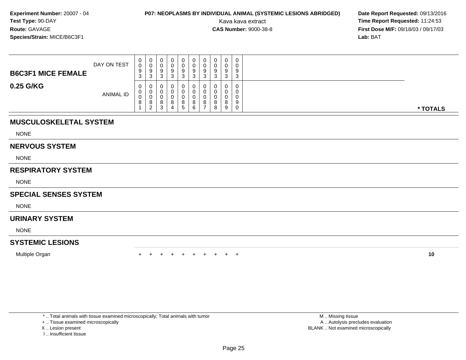# **P07: NEOPLASMS BY INDIVIDUAL ANIMAL (SYSTEMIC LESIONS ABRIDGED) Date Report Requested: 09/13/2016<br>Kava kava extract <b>Time Report Requested:** 11:24:53

Kava kava extract **Time Report Requested:** 11:24:53<br>**CAS Number:** 9000-38-8<br>**Tirst Dose M/F:** 09/18/03 / 09/17/03 **First Dose M/F:** 09/18/03 / 09/17/03<br>**Lab:** BAT **Lab:** BAT

| <b>B6C3F1 MICE FEMALE</b> | DAY ON TEST | 0<br>0<br>9<br>3 | 0<br>0<br>9<br>3                  | U<br>◡<br>У<br>ົ<br>د | 0<br>0<br>9<br>ີ<br>J |   | v<br>u<br><b>Q</b><br>ت | U<br>υ<br>9<br>3 | 0<br>0<br>9<br>3      | 0<br>0<br>9<br>3      | 0<br>9<br>$\sim$<br>J |          |
|---------------------------|-------------|------------------|-----------------------------------|-----------------------|-----------------------|---|-------------------------|------------------|-----------------------|-----------------------|-----------------------|----------|
| 0.25 G/KG                 | ANIMAL ID   | 0<br>U<br>v<br>8 | 0<br>0<br>0<br>8<br>ົ<br><u>_</u> | ◡<br>U<br>◡<br>8<br>3 | 0<br>0<br>0<br>8<br>4 | 8 | U<br>o<br>⌒<br>6        | υ<br>U<br>8      | 0<br>0<br>0<br>8<br>8 | 0<br>0<br>0<br>8<br>9 | 9<br>υ                | * TOTALS |

### **MUSCULOSKELETAL SYSTEM**

NONE

#### **NERVOUS SYSTEM**

NONE

### **RESPIRATORY SYSTEM**

NONE

### **SPECIAL SENSES SYSTEM**

**NONE** 

#### **URINARY SYSTEM**

NONE

### **SYSTEMIC LESIONS**

Multiple Organn  $+$ 

<sup>+</sup> <sup>+</sup> <sup>+</sup> <sup>+</sup> <sup>+</sup> <sup>+</sup> <sup>+</sup> <sup>+</sup> <sup>+</sup> **<sup>10</sup>**

\* .. Total animals with tissue examined microscopically; Total animals with tumor

+ .. Tissue examined microscopically

- X .. Lesion present
- I .. Insufficient tissue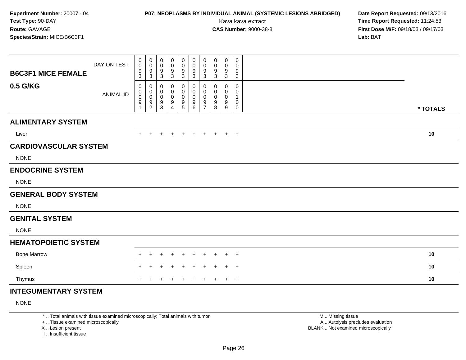# **P07: NEOPLASMS BY INDIVIDUAL ANIMAL (SYSTEMIC LESIONS ABRIDGED) Date Report Requested:** 09/13/2016

Kava kava extract **Time Report Requested:** 11:24:53<br>**CAS Number:** 9000-38-8 **Time Report Requested:** 11:24:53 **First Dose M/F:** 09/18/03 / 09/17/03<br>**Lab:** BAT **Lab:** BAT

| <b>B6C3F1 MICE FEMALE</b>    | DAY ON TEST      | 0<br>0<br>9                             | 0<br>$\mathbf 0$<br>9                                        | 0<br>0<br>9                          | 0<br>0<br>9                                        | 0<br>0<br>9                       | $\mathbf 0$<br>0<br>9                                | 0<br>$\mathbf 0$<br>9                        | $\mathbf 0$<br>0<br>9                           | 0<br>0<br>9                                  | $\mathbf 0$<br>0<br>9                                            |          |
|------------------------------|------------------|-----------------------------------------|--------------------------------------------------------------|--------------------------------------|----------------------------------------------------|-----------------------------------|------------------------------------------------------|----------------------------------------------|-------------------------------------------------|----------------------------------------------|------------------------------------------------------------------|----------|
| 0.5 G/KG                     | <b>ANIMAL ID</b> | 3<br>0<br>0<br>$\mathsf{O}\xspace$<br>9 | $\mathbf{3}$<br>0<br>$\pmb{0}$<br>$\pmb{0}$<br>$\frac{9}{2}$ | 3<br>0<br>0<br>$\mathbf 0$<br>9<br>3 | $\mathbf{3}$<br>0<br>0<br>0<br>9<br>$\overline{4}$ | 3<br>0<br>0<br>0<br>$\frac{9}{5}$ | $\mathbf{3}$<br>0<br>0<br>$\pmb{0}$<br>$\frac{9}{6}$ | $\mathbf{3}$<br>0<br>0<br>0<br>$\frac{9}{7}$ | $\mathbf{3}$<br>$\mathbf 0$<br>0<br>0<br>9<br>8 | $\mathbf{3}$<br>$\Omega$<br>0<br>0<br>9<br>9 | $\sqrt{3}$<br>$\mathbf 0$<br>0<br>$\mathbf{1}$<br>$\pmb{0}$<br>0 | * TOTALS |
| <b>ALIMENTARY SYSTEM</b>     |                  |                                         |                                                              |                                      |                                                    |                                   |                                                      |                                              |                                                 |                                              |                                                                  |          |
| Liver                        |                  | $\pm$                                   | $\pm$                                                        | $\pm$                                | $\pm$                                              | $+$                               | $+$                                                  | $+$                                          | $+$                                             | $+$ $+$                                      |                                                                  | 10       |
| <b>CARDIOVASCULAR SYSTEM</b> |                  |                                         |                                                              |                                      |                                                    |                                   |                                                      |                                              |                                                 |                                              |                                                                  |          |
| <b>NONE</b>                  |                  |                                         |                                                              |                                      |                                                    |                                   |                                                      |                                              |                                                 |                                              |                                                                  |          |
| <b>ENDOCRINE SYSTEM</b>      |                  |                                         |                                                              |                                      |                                                    |                                   |                                                      |                                              |                                                 |                                              |                                                                  |          |
| <b>NONE</b>                  |                  |                                         |                                                              |                                      |                                                    |                                   |                                                      |                                              |                                                 |                                              |                                                                  |          |
| <b>GENERAL BODY SYSTEM</b>   |                  |                                         |                                                              |                                      |                                                    |                                   |                                                      |                                              |                                                 |                                              |                                                                  |          |
| <b>NONE</b>                  |                  |                                         |                                                              |                                      |                                                    |                                   |                                                      |                                              |                                                 |                                              |                                                                  |          |
| <b>GENITAL SYSTEM</b>        |                  |                                         |                                                              |                                      |                                                    |                                   |                                                      |                                              |                                                 |                                              |                                                                  |          |
| <b>NONE</b>                  |                  |                                         |                                                              |                                      |                                                    |                                   |                                                      |                                              |                                                 |                                              |                                                                  |          |
| <b>HEMATOPOIETIC SYSTEM</b>  |                  |                                         |                                                              |                                      |                                                    |                                   |                                                      |                                              |                                                 |                                              |                                                                  |          |
| <b>Bone Marrow</b>           |                  |                                         |                                                              |                                      |                                                    | +                                 | $\pm$                                                | $\div$                                       |                                                 | $\pm$                                        | $^{+}$                                                           | 10       |
| Spleen                       |                  | $\pm$                                   | $\pm$                                                        | $\pm$                                |                                                    | $\pm$                             | $\pm$                                                | $\pm$                                        | +                                               | $\pm$                                        | $+$                                                              | 10       |
| Thymus                       |                  | $+$                                     |                                                              |                                      |                                                    | $\ddot{}$                         | $\ddot{}$                                            | $\ddot{}$                                    | $\pm$                                           | $+$                                          | $+$                                                              | 10       |
| <b>INTEGUMENTARY SYSTEM</b>  |                  |                                         |                                                              |                                      |                                                    |                                   |                                                      |                                              |                                                 |                                              |                                                                  |          |

NONE

\* .. Total animals with tissue examined microscopically; Total animals with tumor

+ .. Tissue examined microscopically

X .. Lesion present

I .. Insufficient tissue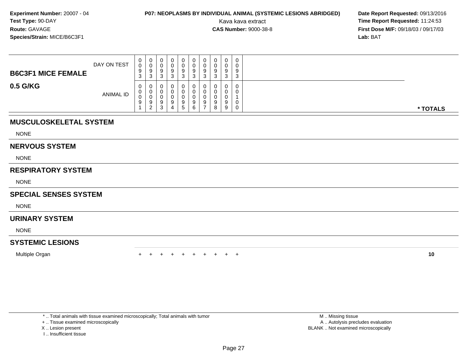# **P07: NEOPLASMS BY INDIVIDUAL ANIMAL (SYSTEMIC LESIONS ABRIDGED) Date Report Requested: 09/13/2016<br>Kava kava extract <b>Time Report Requested:** 11:24:53

Kava kava extract **Time Report Requested:** 11:24:53<br>**CAS Number:** 9000-38-8 **Time Report Requested:** 11:24:53 **First Dose M/F:** 09/18/03 / 09/17/03<br>**Lab:** BAT **Lab:** BAT

| <b>B6C3F1 MICE FEMALE</b> | DAY ON TEST      | 0<br>0<br>9<br>ົ<br>ູບ | U<br>v<br>y<br>3                  | 0<br>υ<br>9<br>◠<br>ບ                 | J | 0<br>0<br>9<br>ົ<br>د  | 9<br>J      | 0<br>-9<br>-3 | 0<br>0<br>9<br>◠<br>ັ | 0<br>g<br>◡ | 0<br>0<br>9<br>ົ<br>C. |          |
|---------------------------|------------------|------------------------|-----------------------------------|---------------------------------------|---|------------------------|-------------|---------------|-----------------------|-------------|------------------------|----------|
| 0.5 G/KG                  | <b>ANIMAL ID</b> | 0<br>0<br>0<br>9       | 0<br>U<br>◡<br>9<br>ົ<br><u>_</u> | 0<br>U<br>υ<br>9<br><sup>o</sup><br>ບ |   | 0<br>0<br>0<br>-9<br>5 | O<br>9<br>6 | 0<br>9<br>-   | 0<br>0<br>0<br>9<br>8 | 0<br>9      | 0<br>0<br>0            | * TOTALS |

### **MUSCULOSKELETAL SYSTEM**

NONE

#### **NERVOUS SYSTEM**

NONE

### **RESPIRATORY SYSTEM**

NONE

### **SPECIAL SENSES SYSTEM**

**NONE** 

#### **URINARY SYSTEM**

NONE

### **SYSTEMIC LESIONS**

Multiple Organn  $+$ 

<sup>+</sup> <sup>+</sup> <sup>+</sup> <sup>+</sup> <sup>+</sup> <sup>+</sup> <sup>+</sup> <sup>+</sup> <sup>+</sup> **<sup>10</sup>**

\* .. Total animals with tissue examined microscopically; Total animals with tumor

+ .. Tissue examined microscopically

- X .. Lesion present
- I .. Insufficient tissue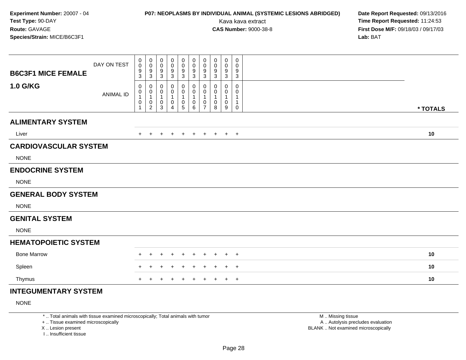# **P07: NEOPLASMS BY INDIVIDUAL ANIMAL (SYSTEMIC LESIONS ABRIDGED) Date Report Requested:** 09/13/2016

Kava kava extract **Time Report Requested:** 11:24:53<br>**CAS Number:** 9000-38-8 **Time Report Requested:** 11:24:53 **First Dose M/F:** 09/18/03 / 09/17/03<br>**Lab:** BAT **Lab:** BAT

| <b>B6C3F1 MICE FEMALE</b>    | DAY ON TEST      | 0<br>0<br>9                          | $\pmb{0}$<br>$\pmb{0}$<br>$\boldsymbol{9}$                                                                     | $\mathbf 0$<br>0<br>9                 | 0<br>0<br>9                          | $\pmb{0}$<br>$\mathbf 0$<br>$\boldsymbol{9}$                                 | $\pmb{0}$<br>$\mathbf 0$<br>$\boldsymbol{9}$                                                        | $\mathbf 0$<br>$\mathbf 0$<br>9                                     | $\pmb{0}$<br>0<br>9        | $\pmb{0}$<br>0<br>9                          | 0<br>0<br>9                                     |          |
|------------------------------|------------------|--------------------------------------|----------------------------------------------------------------------------------------------------------------|---------------------------------------|--------------------------------------|------------------------------------------------------------------------------|-----------------------------------------------------------------------------------------------------|---------------------------------------------------------------------|----------------------------|----------------------------------------------|-------------------------------------------------|----------|
| 1.0 G/KG                     | <b>ANIMAL ID</b> | 3<br>0<br>0<br>1<br>0<br>$\mathbf 1$ | $\mathbf{3}$<br>0<br>$\begin{smallmatrix}0\1\end{smallmatrix}$<br>$\begin{smallmatrix} 0\\2 \end{smallmatrix}$ | 3<br>0<br>0<br>$\mathbf{1}$<br>0<br>3 | 3<br>0<br>0<br>$\mathbf 1$<br>0<br>4 | 3<br>0<br>$\pmb{0}$<br>$\mathbf{1}$<br>$\begin{array}{c} 0 \\ 5 \end{array}$ | $\mathbf{3}$<br>$\mathbf 0$<br>$\pmb{0}$<br>$\overline{1}$<br>$\begin{array}{c} 0 \\ 6 \end{array}$ | 3<br>0<br>0<br>$\overline{1}$<br>$\boldsymbol{0}$<br>$\overline{7}$ | 3<br>0<br>0<br>1<br>0<br>8 | 3<br>0<br>0<br>$\mathbf 1$<br>$\pmb{0}$<br>9 | $\mathbf{3}$<br>$\mathbf 0$<br>0<br>1<br>1<br>0 | * TOTALS |
| <b>ALIMENTARY SYSTEM</b>     |                  |                                      |                                                                                                                |                                       |                                      |                                                                              |                                                                                                     |                                                                     |                            |                                              |                                                 |          |
| Liver                        |                  | $+$                                  | $+$                                                                                                            | $+$                                   | $+$                                  | $+$                                                                          | $+$                                                                                                 | $+$                                                                 | $+$                        |                                              | $+$ $+$                                         | 10       |
| <b>CARDIOVASCULAR SYSTEM</b> |                  |                                      |                                                                                                                |                                       |                                      |                                                                              |                                                                                                     |                                                                     |                            |                                              |                                                 |          |
| <b>NONE</b>                  |                  |                                      |                                                                                                                |                                       |                                      |                                                                              |                                                                                                     |                                                                     |                            |                                              |                                                 |          |
| <b>ENDOCRINE SYSTEM</b>      |                  |                                      |                                                                                                                |                                       |                                      |                                                                              |                                                                                                     |                                                                     |                            |                                              |                                                 |          |
| <b>NONE</b>                  |                  |                                      |                                                                                                                |                                       |                                      |                                                                              |                                                                                                     |                                                                     |                            |                                              |                                                 |          |
| <b>GENERAL BODY SYSTEM</b>   |                  |                                      |                                                                                                                |                                       |                                      |                                                                              |                                                                                                     |                                                                     |                            |                                              |                                                 |          |
| <b>NONE</b>                  |                  |                                      |                                                                                                                |                                       |                                      |                                                                              |                                                                                                     |                                                                     |                            |                                              |                                                 |          |
| <b>GENITAL SYSTEM</b>        |                  |                                      |                                                                                                                |                                       |                                      |                                                                              |                                                                                                     |                                                                     |                            |                                              |                                                 |          |
| <b>NONE</b>                  |                  |                                      |                                                                                                                |                                       |                                      |                                                                              |                                                                                                     |                                                                     |                            |                                              |                                                 |          |
| <b>HEMATOPOIETIC SYSTEM</b>  |                  |                                      |                                                                                                                |                                       |                                      |                                                                              |                                                                                                     |                                                                     |                            |                                              |                                                 |          |
| <b>Bone Marrow</b>           |                  | $\div$                               | $\ddot{}$                                                                                                      | $\ddot{}$                             | $\pm$                                | $\ddot{}$                                                                    | $\overline{+}$                                                                                      | $\overline{+}$                                                      | $\pm$                      | $+$                                          | $+$                                             | 10       |
| Spleen                       |                  |                                      |                                                                                                                | ÷                                     | ٠                                    | $\div$                                                                       | $\ddot{}$                                                                                           | $\pm$                                                               | ÷                          | $+$                                          | $+$                                             | 10       |
| Thymus                       |                  | $\ddot{}$                            | $\pm$                                                                                                          | $\pm$                                 | $+$                                  | $+$                                                                          | $+$                                                                                                 | $+$                                                                 | $\pm$                      |                                              | $+$ $+$                                         | 10       |
| <b>INTEGUMENTARY SYSTEM</b>  |                  |                                      |                                                                                                                |                                       |                                      |                                                                              |                                                                                                     |                                                                     |                            |                                              |                                                 |          |

NONE

\* .. Total animals with tissue examined microscopically; Total animals with tumor

+ .. Tissue examined microscopically

X .. Lesion present

I .. Insufficient tissue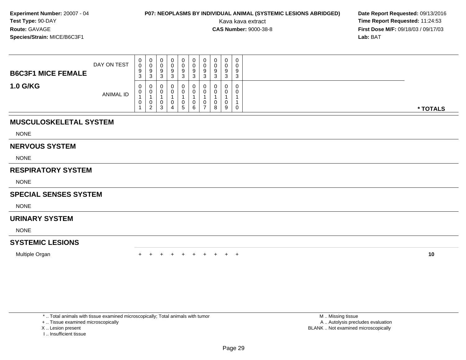# **P07: NEOPLASMS BY INDIVIDUAL ANIMAL (SYSTEMIC LESIONS ABRIDGED) Date Report Requested: 09/13/2016<br>Kava kava extract <b>Time Report Requested:** 11:24:53

Kava kava extract **Time Report Requested:** 11:24:53<br>**CAS Number:** 9000-38-8 **Time Report Requested:** 11:24:53 **First Dose M/F:** 09/18/03 / 09/17/03<br>**Lab:** BAT **Lab:** BAT

| <b>B6C3F1 MICE FEMALE</b> | DAY ON TEST | $\mathbf{0}$<br>0<br>9<br>$\sim$<br>ు        | 0<br>◡<br>9<br>3             |   | 0<br>U<br>9<br>3 | $\mathbf{0}$<br>0<br>9<br>ົ<br>د. | 0<br>v<br>9<br>3 | 9<br>ັ | 0<br>۰J | 0<br>0<br>9<br>3 |          |
|---------------------------|-------------|----------------------------------------------|------------------------------|---|------------------|-----------------------------------|------------------|--------|---------|------------------|----------|
| <b>1.0 G/KG</b>           | ANIMAL ID   | $\mathbf{0}$<br>$\mathbf{0}$<br>$\mathbf{0}$ | 0<br>0<br>0<br>$\mathcal{D}$ | ◠ | U<br>Ü<br>O<br>5 | 0<br>0<br>0<br>6                  | U<br>U<br>U<br>- | 8      | 9       | 0<br>0<br>0      | * TOTALS |

### **MUSCULOSKELETAL SYSTEM**

NONE

#### **NERVOUS SYSTEM**

NONE

### **RESPIRATORY SYSTEM**

NONE

### **SPECIAL SENSES SYSTEM**

**NONE** 

#### **URINARY SYSTEM**

NONE

### **SYSTEMIC LESIONS**

Multiple Organn  $+$ 

<sup>+</sup> <sup>+</sup> <sup>+</sup> <sup>+</sup> <sup>+</sup> <sup>+</sup> <sup>+</sup> <sup>+</sup> <sup>+</sup> **<sup>10</sup>**

\* .. Total animals with tissue examined microscopically; Total animals with tumor

+ .. Tissue examined microscopically

- X .. Lesion present
- I .. Insufficient tissue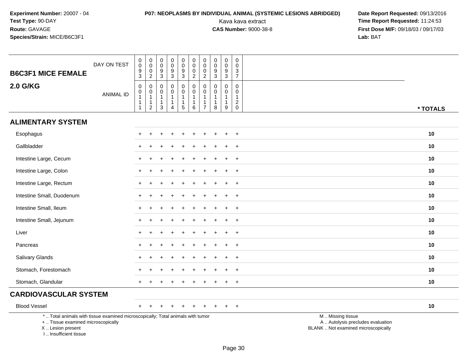# **P07: NEOPLASMS BY INDIVIDUAL ANIMAL (SYSTEMIC LESIONS ABRIDGED) Date Report Requested:** 09/13/2016

| <b>B6C3F1 MICE FEMALE</b>                                                                                                                                          | DAY ON TEST      | 0<br>$\pmb{0}$<br>$\boldsymbol{9}$<br>$\mathbf{3}$                     | $\boldsymbol{0}$<br>$\mathsf 0$<br>$\mathbf 0$<br>$\overline{2}$             | 0<br>0<br>9<br>$\mathbf{3}$                              | $\mathbf 0$<br>$\mathbf 0$<br>$\boldsymbol{9}$<br>$\mathsf 3$                | 0<br>$\mathbf 0$<br>9<br>$\mathsf 3$                           | 0<br>$\mathbf 0$<br>$\mathbf 0$<br>$\overline{a}$                 | 0<br>0<br>0<br>$\overline{2}$                                                | 0<br>$\mathbf 0$<br>$\boldsymbol{9}$<br>$\mathbf{3}$ | $\bf{0}$<br>$\mathbf 0$<br>$\boldsymbol{9}$<br>$\sqrt{3}$       | 0<br>$\mathbf 0$<br>$\mathsf 3$<br>$\overline{7}$       |                                                                                               |          |
|--------------------------------------------------------------------------------------------------------------------------------------------------------------------|------------------|------------------------------------------------------------------------|------------------------------------------------------------------------------|----------------------------------------------------------|------------------------------------------------------------------------------|----------------------------------------------------------------|-------------------------------------------------------------------|------------------------------------------------------------------------------|------------------------------------------------------|-----------------------------------------------------------------|---------------------------------------------------------|-----------------------------------------------------------------------------------------------|----------|
| 2.0 G/KG                                                                                                                                                           | <b>ANIMAL ID</b> | $\pmb{0}$<br>$\pmb{0}$<br>$\mathbf{1}$<br>$\mathbf{1}$<br>$\mathbf{1}$ | $\mathbf 0$<br>$\mathbf 0$<br>$\mathbf{1}$<br>$\mathbf{1}$<br>$\overline{c}$ | $\mathbf 0$<br>$\mathbf{0}$<br>-1<br>$\overline{1}$<br>3 | $\mathbf 0$<br>$\mathbf 0$<br>$\mathbf{1}$<br>$\mathbf{1}$<br>$\overline{4}$ | 0<br>$\mathbf 0$<br>$\mathbf{1}$<br>$\mathbf{1}$<br>$\sqrt{5}$ | $\mathbf 0$<br>$\mathbf 0$<br>1<br>$\mathbf{1}$<br>$6\phantom{1}$ | $\mathbf 0$<br>$\mathbf 0$<br>$\mathbf{1}$<br>$\mathbf{1}$<br>$\overline{7}$ | $\Omega$<br>0<br>$\mathbf{1}$<br>$\mathbf{1}$<br>8   | $\mathbf 0$<br>$\mathbf 0$<br>$\mathbf{1}$<br>$\mathbf{1}$<br>9 | $\mathbf 0$<br>$\Omega$<br>$\mathbf{1}$<br>$^2_{\rm 0}$ |                                                                                               | * TOTALS |
| <b>ALIMENTARY SYSTEM</b>                                                                                                                                           |                  |                                                                        |                                                                              |                                                          |                                                                              |                                                                |                                                                   |                                                                              |                                                      |                                                                 |                                                         |                                                                                               |          |
| Esophagus                                                                                                                                                          |                  |                                                                        |                                                                              |                                                          |                                                                              |                                                                |                                                                   |                                                                              |                                                      |                                                                 | $\ddot{}$                                               |                                                                                               | 10       |
| Gallbladder                                                                                                                                                        |                  |                                                                        |                                                                              |                                                          |                                                                              |                                                                |                                                                   |                                                                              |                                                      |                                                                 | $\ddot{}$                                               |                                                                                               | 10       |
| Intestine Large, Cecum                                                                                                                                             |                  |                                                                        |                                                                              |                                                          |                                                                              |                                                                |                                                                   |                                                                              |                                                      |                                                                 | $+$                                                     |                                                                                               | 10       |
| Intestine Large, Colon                                                                                                                                             |                  |                                                                        |                                                                              |                                                          |                                                                              |                                                                |                                                                   |                                                                              |                                                      |                                                                 | $\div$                                                  |                                                                                               | 10       |
| Intestine Large, Rectum                                                                                                                                            |                  |                                                                        | $\ddot{}$                                                                    |                                                          |                                                                              |                                                                |                                                                   |                                                                              |                                                      |                                                                 | $\overline{+}$                                          |                                                                                               | 10       |
| Intestine Small, Duodenum                                                                                                                                          |                  |                                                                        | $\div$                                                                       |                                                          |                                                                              |                                                                |                                                                   |                                                                              |                                                      | $\overline{1}$                                                  | $+$                                                     |                                                                                               | 10       |
| Intestine Small, Ileum                                                                                                                                             |                  |                                                                        |                                                                              |                                                          |                                                                              |                                                                |                                                                   |                                                                              |                                                      |                                                                 | $\ddot{}$                                               |                                                                                               | 10       |
| Intestine Small, Jejunum                                                                                                                                           |                  |                                                                        |                                                                              |                                                          |                                                                              |                                                                |                                                                   |                                                                              |                                                      |                                                                 | $\ddot{}$                                               |                                                                                               | 10       |
| Liver                                                                                                                                                              |                  |                                                                        |                                                                              |                                                          |                                                                              |                                                                |                                                                   |                                                                              |                                                      |                                                                 | $+$                                                     |                                                                                               | 10       |
| Pancreas                                                                                                                                                           |                  |                                                                        |                                                                              |                                                          |                                                                              |                                                                |                                                                   |                                                                              |                                                      |                                                                 | $\ddot{}$                                               |                                                                                               | 10       |
| Salivary Glands                                                                                                                                                    |                  |                                                                        |                                                                              |                                                          |                                                                              |                                                                |                                                                   |                                                                              |                                                      |                                                                 | $\ddot{}$                                               |                                                                                               | 10       |
| Stomach, Forestomach                                                                                                                                               |                  |                                                                        |                                                                              |                                                          |                                                                              |                                                                |                                                                   |                                                                              |                                                      |                                                                 | $+$                                                     |                                                                                               | 10       |
| Stomach, Glandular                                                                                                                                                 |                  |                                                                        |                                                                              |                                                          |                                                                              |                                                                |                                                                   |                                                                              |                                                      |                                                                 | $\overline{+}$                                          |                                                                                               | 10       |
| <b>CARDIOVASCULAR SYSTEM</b>                                                                                                                                       |                  |                                                                        |                                                                              |                                                          |                                                                              |                                                                |                                                                   |                                                                              |                                                      |                                                                 |                                                         |                                                                                               |          |
| <b>Blood Vessel</b>                                                                                                                                                |                  | $+$                                                                    |                                                                              |                                                          |                                                                              |                                                                |                                                                   |                                                                              |                                                      |                                                                 | $+$                                                     |                                                                                               | 10       |
| *  Total animals with tissue examined microscopically; Total animals with tumor<br>+  Tissue examined microscopically<br>X Lesion present<br>I Insufficient tissue |                  |                                                                        |                                                                              |                                                          |                                                                              |                                                                |                                                                   |                                                                              |                                                      |                                                                 |                                                         | M  Missing tissue<br>A  Autolysis precludes evaluation<br>BLANK  Not examined microscopically |          |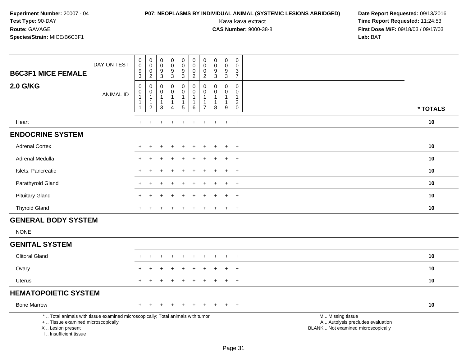# **P07: NEOPLASMS BY INDIVIDUAL ANIMAL (SYSTEMIC LESIONS ABRIDGED) Date Report Requested:** 09/13/2016

| <b>B6C3F1 MICE FEMALE</b>                                                                                                                                           | DAY ON TEST      | $\pmb{0}$<br>$\pmb{0}$<br>9<br>$\overline{3}$                                           | $\pmb{0}$<br>$\pmb{0}$<br>$\mathbf 0$<br>$\overline{a}$  | $\mathbf 0$<br>$\mathbf 0$<br>9<br>$\overline{3}$                          | $\begin{smallmatrix}0\\0\end{smallmatrix}$<br>$\boldsymbol{9}$<br>$\overline{3}$ | $\mathbf 0$<br>$\mathsf{O}\xspace$<br>9<br>$\overline{3}$                  | $\mathbf 0$<br>$\mathbf 0$<br>0<br>$\overline{2}$                   | 0<br>$\mathbf 0$<br>$\mathbf 0$<br>$\overline{2}$                 | $\pmb{0}$<br>$\pmb{0}$<br>$9\,$<br>$\overline{3}$             | $\mathbf 0$<br>$\mathbf 0$<br>9<br>$\overline{3}$                | 0<br>$\mathbf 0$<br>$\frac{3}{7}$                          |                                                                                               |          |
|---------------------------------------------------------------------------------------------------------------------------------------------------------------------|------------------|-----------------------------------------------------------------------------------------|----------------------------------------------------------|----------------------------------------------------------------------------|----------------------------------------------------------------------------------|----------------------------------------------------------------------------|---------------------------------------------------------------------|-------------------------------------------------------------------|---------------------------------------------------------------|------------------------------------------------------------------|------------------------------------------------------------|-----------------------------------------------------------------------------------------------|----------|
| <b>2.0 G/KG</b>                                                                                                                                                     | <b>ANIMAL ID</b> | $\pmb{0}$<br>$\begin{smallmatrix}0\\1\end{smallmatrix}$<br>$\mathbf{1}$<br>$\mathbf{1}$ | 0<br>0<br>$\mathbf{1}$<br>$\mathbf{1}$<br>$\overline{c}$ | $\mathbf 0$<br>$\mathbf 0$<br>$\mathbf{1}$<br>$\mathbf{1}$<br>$\mathbf{3}$ | $\pmb{0}$<br>$\pmb{0}$<br>$\mathbf{1}$<br>$\mathbf{1}$<br>$\overline{4}$         | $\mathbf 0$<br>$\mathbf 0$<br>$\overline{1}$<br>$\mathbf{1}$<br>$\sqrt{5}$ | $\pmb{0}$<br>$\mathbf 0$<br>$\mathbf{1}$<br>$\mathbf{1}$<br>$\,6\,$ | $\mathbf 0$<br>$\mathbf 0$<br>1<br>$\mathbf{1}$<br>$\overline{7}$ | $\mathbf 0$<br>$\pmb{0}$<br>$\mathbf{1}$<br>$\mathbf{1}$<br>8 | $\mathbf 0$<br>$\mathsf{O}$<br>$\mathbf{1}$<br>$\mathbf{1}$<br>9 | $\mathbf 0$<br>$\mathbf 0$<br>$\mathbf{1}$<br>$^2_{\rm 0}$ |                                                                                               | * TOTALS |
| Heart                                                                                                                                                               |                  | $+$                                                                                     | ÷.                                                       |                                                                            |                                                                                  |                                                                            | ÷.                                                                  | $\ddot{}$                                                         |                                                               | $\ddot{}$                                                        | $+$                                                        |                                                                                               | 10       |
| <b>ENDOCRINE SYSTEM</b>                                                                                                                                             |                  |                                                                                         |                                                          |                                                                            |                                                                                  |                                                                            |                                                                     |                                                                   |                                                               |                                                                  |                                                            |                                                                                               |          |
| <b>Adrenal Cortex</b>                                                                                                                                               |                  |                                                                                         |                                                          |                                                                            |                                                                                  |                                                                            |                                                                     |                                                                   |                                                               | $\ddot{}$                                                        | $+$                                                        |                                                                                               | 10       |
| Adrenal Medulla                                                                                                                                                     |                  |                                                                                         |                                                          |                                                                            |                                                                                  |                                                                            |                                                                     |                                                                   |                                                               |                                                                  | $\ddot{}$                                                  |                                                                                               | 10       |
| Islets, Pancreatic                                                                                                                                                  |                  |                                                                                         |                                                          |                                                                            |                                                                                  |                                                                            |                                                                     |                                                                   |                                                               | ÷                                                                | $\ddot{}$                                                  |                                                                                               | 10       |
| Parathyroid Gland                                                                                                                                                   |                  |                                                                                         |                                                          |                                                                            |                                                                                  |                                                                            |                                                                     |                                                                   |                                                               | $\div$                                                           | $\overline{+}$                                             |                                                                                               | 10       |
| <b>Pituitary Gland</b>                                                                                                                                              |                  |                                                                                         |                                                          |                                                                            |                                                                                  |                                                                            |                                                                     |                                                                   |                                                               | $\ddot{}$                                                        | $\ddot{}$                                                  |                                                                                               | 10       |
| <b>Thyroid Gland</b>                                                                                                                                                |                  |                                                                                         |                                                          |                                                                            |                                                                                  |                                                                            |                                                                     |                                                                   |                                                               | $\ddot{}$                                                        | $+$                                                        |                                                                                               | 10       |
| <b>GENERAL BODY SYSTEM</b>                                                                                                                                          |                  |                                                                                         |                                                          |                                                                            |                                                                                  |                                                                            |                                                                     |                                                                   |                                                               |                                                                  |                                                            |                                                                                               |          |
| <b>NONE</b>                                                                                                                                                         |                  |                                                                                         |                                                          |                                                                            |                                                                                  |                                                                            |                                                                     |                                                                   |                                                               |                                                                  |                                                            |                                                                                               |          |
| <b>GENITAL SYSTEM</b>                                                                                                                                               |                  |                                                                                         |                                                          |                                                                            |                                                                                  |                                                                            |                                                                     |                                                                   |                                                               |                                                                  |                                                            |                                                                                               |          |
| <b>Clitoral Gland</b>                                                                                                                                               |                  |                                                                                         |                                                          |                                                                            |                                                                                  |                                                                            |                                                                     |                                                                   |                                                               | $\div$                                                           | $\overline{+}$                                             |                                                                                               | 10       |
| Ovary                                                                                                                                                               |                  |                                                                                         |                                                          |                                                                            |                                                                                  |                                                                            |                                                                     |                                                                   |                                                               |                                                                  | $\ddot{}$                                                  |                                                                                               | 10       |
| <b>Uterus</b>                                                                                                                                                       |                  |                                                                                         |                                                          |                                                                            |                                                                                  |                                                                            |                                                                     |                                                                   |                                                               | $\div$                                                           | $+$                                                        |                                                                                               | 10       |
| <b>HEMATOPOIETIC SYSTEM</b>                                                                                                                                         |                  |                                                                                         |                                                          |                                                                            |                                                                                  |                                                                            |                                                                     |                                                                   |                                                               |                                                                  |                                                            |                                                                                               |          |
| <b>Bone Marrow</b>                                                                                                                                                  |                  |                                                                                         |                                                          |                                                                            |                                                                                  |                                                                            |                                                                     |                                                                   |                                                               |                                                                  | $\overline{+}$                                             |                                                                                               | 10       |
| *  Total animals with tissue examined microscopically; Total animals with tumor<br>+  Tissue examined microscopically<br>X  Lesion present<br>I Insufficient tissue |                  |                                                                                         |                                                          |                                                                            |                                                                                  |                                                                            |                                                                     |                                                                   |                                                               |                                                                  |                                                            | M  Missing tissue<br>A  Autolysis precludes evaluation<br>BLANK  Not examined microscopically |          |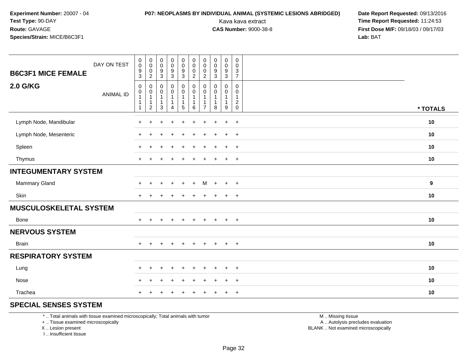# **P07: NEOPLASMS BY INDIVIDUAL ANIMAL (SYSTEMIC LESIONS ABRIDGED) Date Report Requested:** 09/13/2016

Kava kava extract **Time Report Requested:** 11:24:53<br>**CAS Number:** 9000-38-8 **Time Report Requested:** 11:24:53 **First Dose M/F:** 09/18/03 / 09/17/03<br>**Lab:** BAT **Lab:** BAT

| DAY ON TEST<br><b>B6C3F1 MICE FEMALE</b> | $_{\rm 0}^{\rm 0}$<br>$^9_3$                       | $_{\rm 0}^{\rm 0}$<br>$\begin{smallmatrix} 0\\2 \end{smallmatrix}$           | $\pmb{0}$<br>$\mathbf 0$<br>$\boldsymbol{9}$<br>$\mathbf{3}$ | $\pmb{0}$<br>$\mathsf{O}\xspace$<br>9<br>$\mathbf{3}$         | $\pmb{0}$<br>$\pmb{0}$<br>$\boldsymbol{9}$<br>$\mathfrak{Z}$       | $\pmb{0}$<br>$\pmb{0}$<br>$\pmb{0}$<br>$\overline{c}$ | $\begin{smallmatrix} 0\\0 \end{smallmatrix}$<br>$\pmb{0}$<br>$\overline{2}$    | $\pmb{0}$<br>$\mathbf 0$<br>$\boldsymbol{9}$<br>$\mathbf{3}$ | $\pmb{0}$<br>$\pmb{0}$<br>9<br>$\sqrt{3}$     | $\boldsymbol{0}$<br>$\pmb{0}$<br>$\ensuremath{\mathsf{3}}$<br>$\overline{7}$ |          |
|------------------------------------------|----------------------------------------------------|------------------------------------------------------------------------------|--------------------------------------------------------------|---------------------------------------------------------------|--------------------------------------------------------------------|-------------------------------------------------------|--------------------------------------------------------------------------------|--------------------------------------------------------------|-----------------------------------------------|------------------------------------------------------------------------------|----------|
| <b>2.0 G/KG</b><br><b>ANIMAL ID</b>      | $\mathbf 0$<br>$\pmb{0}$<br>1<br>1<br>$\mathbf{1}$ | $\mathbf 0$<br>$\pmb{0}$<br>$\mathbf{1}$<br>$\overline{1}$<br>$\overline{2}$ | $\pmb{0}$<br>$\pmb{0}$<br>$\mathbf{1}$<br>$\mathbf{1}$<br>3  | $\pmb{0}$<br>$\pmb{0}$<br>$\mathbf{1}$<br>1<br>$\overline{4}$ | 0<br>$\mathsf 0$<br>$\mathbf{1}$<br>$\mathbf{1}$<br>$\overline{5}$ | $\pmb{0}$<br>$\pmb{0}$<br>$\mathbf{1}$<br>6           | $\mathbf 0$<br>$\mathbf 0$<br>$\overline{1}$<br>$\mathbf{1}$<br>$\overline{7}$ | 0<br>$\mathbf 0$<br>$\mathbf{1}$<br>$\mathbf{1}$<br>$\bf8$   | $\pmb{0}$<br>$\mathbf 0$<br>$\mathbf{1}$<br>9 | 0<br>$\mathbf 0$<br>$\mathbf{1}$<br>$^2_{\rm 0}$                             | * TOTALS |
| Lymph Node, Mandibular                   | $+$                                                | $\ddot{}$                                                                    | $\ddot{}$                                                    | $\ddot{}$                                                     | $+$                                                                | $+$                                                   | $+$                                                                            | $+$                                                          | $\ddot{}$                                     | $+$                                                                          | 10       |
| Lymph Node, Mesenteric                   | $\pm$                                              |                                                                              |                                                              | $\div$                                                        | $\div$                                                             | $\ddot{}$                                             | +                                                                              | ٠                                                            | $\ddot{}$                                     | $+$                                                                          | 10       |
| Spleen                                   | $\ddot{}$                                          | $\ddot{}$                                                                    |                                                              | $\ddot{}$                                                     | $\ddot{}$                                                          | $\ddot{}$                                             | $\pm$                                                                          | $\ddot{}$                                                    | $\ddot{}$                                     | $+$                                                                          | 10       |
| Thymus                                   | $\ddot{}$                                          |                                                                              |                                                              |                                                               |                                                                    | $\div$                                                |                                                                                |                                                              | $\ddot{}$                                     | $+$                                                                          | 10       |
| <b>INTEGUMENTARY SYSTEM</b>              |                                                    |                                                                              |                                                              |                                                               |                                                                    |                                                       |                                                                                |                                                              |                                               |                                                                              |          |
| Mammary Gland                            | $\pm$                                              |                                                                              |                                                              |                                                               | $\pm$                                                              | $\ddot{}$                                             | М                                                                              | $\div$                                                       | $\ddot{}$                                     | $+$                                                                          | 9        |
| Skin                                     |                                                    |                                                                              |                                                              |                                                               |                                                                    |                                                       |                                                                                |                                                              | $\ddot{}$                                     | $\overline{+}$                                                               | 10       |
| <b>MUSCULOSKELETAL SYSTEM</b>            |                                                    |                                                                              |                                                              |                                                               |                                                                    |                                                       |                                                                                |                                                              |                                               |                                                                              |          |
| Bone                                     | $+$                                                | $\ddot{}$                                                                    | $\pm$                                                        | $+$                                                           | $+$                                                                | $+$                                                   | $+$                                                                            | $+$                                                          | $+$                                           | $+$                                                                          | 10       |
| <b>NERVOUS SYSTEM</b>                    |                                                    |                                                                              |                                                              |                                                               |                                                                    |                                                       |                                                                                |                                                              |                                               |                                                                              |          |
| Brain                                    | $+$                                                |                                                                              |                                                              | $\div$                                                        | $\pm$                                                              | $\ddot{}$                                             |                                                                                | $\ddot{}$                                                    | $\ddot{}$                                     | $^{+}$                                                                       | 10       |
| <b>RESPIRATORY SYSTEM</b>                |                                                    |                                                                              |                                                              |                                                               |                                                                    |                                                       |                                                                                |                                                              |                                               |                                                                              |          |
| Lung                                     | $\pm$                                              | ÷                                                                            |                                                              |                                                               |                                                                    |                                                       |                                                                                |                                                              | $\ddot{}$                                     | $^{+}$                                                                       | 10       |
| Nose                                     |                                                    |                                                                              |                                                              |                                                               |                                                                    |                                                       |                                                                                |                                                              | $\ddot{}$                                     | $\ddot{}$                                                                    | 10       |
| Trachea                                  |                                                    |                                                                              |                                                              |                                                               |                                                                    |                                                       |                                                                                |                                                              | $\div$                                        | $\overline{+}$                                                               | 10       |

### **SPECIAL SENSES SYSTEM**

\* .. Total animals with tissue examined microscopically; Total animals with tumor

+ .. Tissue examined microscopically

X .. Lesion present

I .. Insufficient tissue